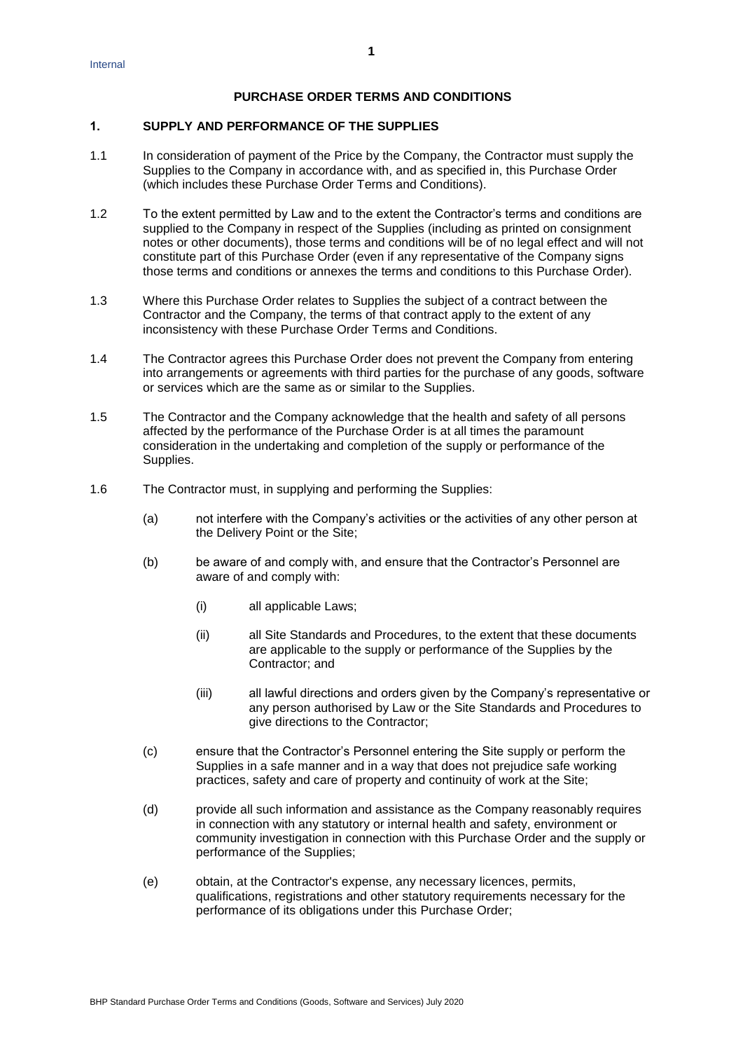# **PURCHASE ORDER TERMS AND CONDITIONS**

#### **1. SUPPLY AND PERFORMANCE OF THE SUPPLIES**

- 1.1 In consideration of payment of the Price by the Company, the Contractor must supply the Supplies to the Company in accordance with, and as specified in, this Purchase Order (which includes these Purchase Order Terms and Conditions).
- 1.2 To the extent permitted by Law and to the extent the Contractor's terms and conditions are supplied to the Company in respect of the Supplies (including as printed on consignment notes or other documents), those terms and conditions will be of no legal effect and will not constitute part of this Purchase Order (even if any representative of the Company signs those terms and conditions or annexes the terms and conditions to this Purchase Order).
- 1.3 Where this Purchase Order relates to Supplies the subject of a contract between the Contractor and the Company, the terms of that contract apply to the extent of any inconsistency with these Purchase Order Terms and Conditions.
- 1.4 The Contractor agrees this Purchase Order does not prevent the Company from entering into arrangements or agreements with third parties for the purchase of any goods, software or services which are the same as or similar to the Supplies.
- 1.5 The Contractor and the Company acknowledge that the health and safety of all persons affected by the performance of the Purchase Order is at all times the paramount consideration in the undertaking and completion of the supply or performance of the Supplies.
- 1.6 The Contractor must, in supplying and performing the Supplies:
	- (a) not interfere with the Company's activities or the activities of any other person at the Delivery Point or the Site;
	- (b) be aware of and comply with, and ensure that the Contractor's Personnel are aware of and comply with:
		- (i) all applicable Laws;
		- (ii) all Site Standards and Procedures, to the extent that these documents are applicable to the supply or performance of the Supplies by the Contractor; and
		- (iii) all lawful directions and orders given by the Company's representative or any person authorised by Law or the Site Standards and Procedures to give directions to the Contractor;
	- (c) ensure that the Contractor's Personnel entering the Site supply or perform the Supplies in a safe manner and in a way that does not prejudice safe working practices, safety and care of property and continuity of work at the Site;
	- (d) provide all such information and assistance as the Company reasonably requires in connection with any statutory or internal health and safety, environment or community investigation in connection with this Purchase Order and the supply or performance of the Supplies;
	- (e) obtain, at the Contractor's expense, any necessary licences, permits, qualifications, registrations and other statutory requirements necessary for the performance of its obligations under this Purchase Order;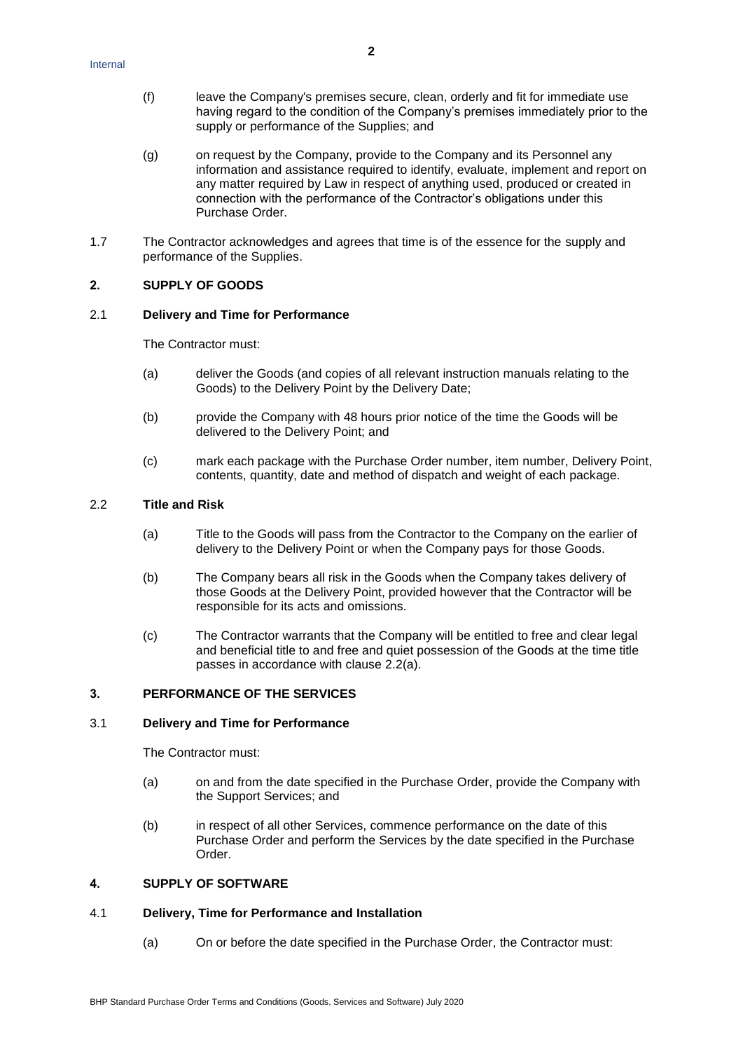- (f) leave the Company's premises secure, clean, orderly and fit for immediate use having regard to the condition of the Company's premises immediately prior to the supply or performance of the Supplies; and
- (g) on request by the Company, provide to the Company and its Personnel any information and assistance required to identify, evaluate, implement and report on any matter required by Law in respect of anything used, produced or created in connection with the performance of the Contractor's obligations under this Purchase Order.
- 1.7 The Contractor acknowledges and agrees that time is of the essence for the supply and performance of the Supplies.

# **2. SUPPLY OF GOODS**

#### 2.1 **Delivery and Time for Performance**

The Contractor must:

- (a) deliver the Goods (and copies of all relevant instruction manuals relating to the Goods) to the Delivery Point by the Delivery Date;
- (b) provide the Company with 48 hours prior notice of the time the Goods will be delivered to the Delivery Point; and
- (c) mark each package with the Purchase Order number, item number, Delivery Point, contents, quantity, date and method of dispatch and weight of each package.

#### <span id="page-1-0"></span>2.2 **Title and Risk**

- (a) Title to the Goods will pass from the Contractor to the Company on the earlier of delivery to the Delivery Point or when the Company pays for those Goods.
- (b) The Company bears all risk in the Goods when the Company takes delivery of those Goods at the Delivery Point, provided however that the Contractor will be responsible for its acts and omissions.
- (c) The Contractor warrants that the Company will be entitled to free and clear legal and beneficial title to and free and quiet possession of the Goods at the time title passes in accordance with clause [2.2\(a\).](#page-1-0)

#### **3. PERFORMANCE OF THE SERVICES**

#### 3.1 **Delivery and Time for Performance**

The Contractor must:

- (a) on and from the date specified in the Purchase Order, provide the Company with the Support Services; and
- (b) in respect of all other Services, commence performance on the date of this Purchase Order and perform the Services by the date specified in the Purchase Order.

# **4. SUPPLY OF SOFTWARE**

## 4.1 **Delivery, Time for Performance and Installation**

(a) On or before the date specified in the Purchase Order, the Contractor must: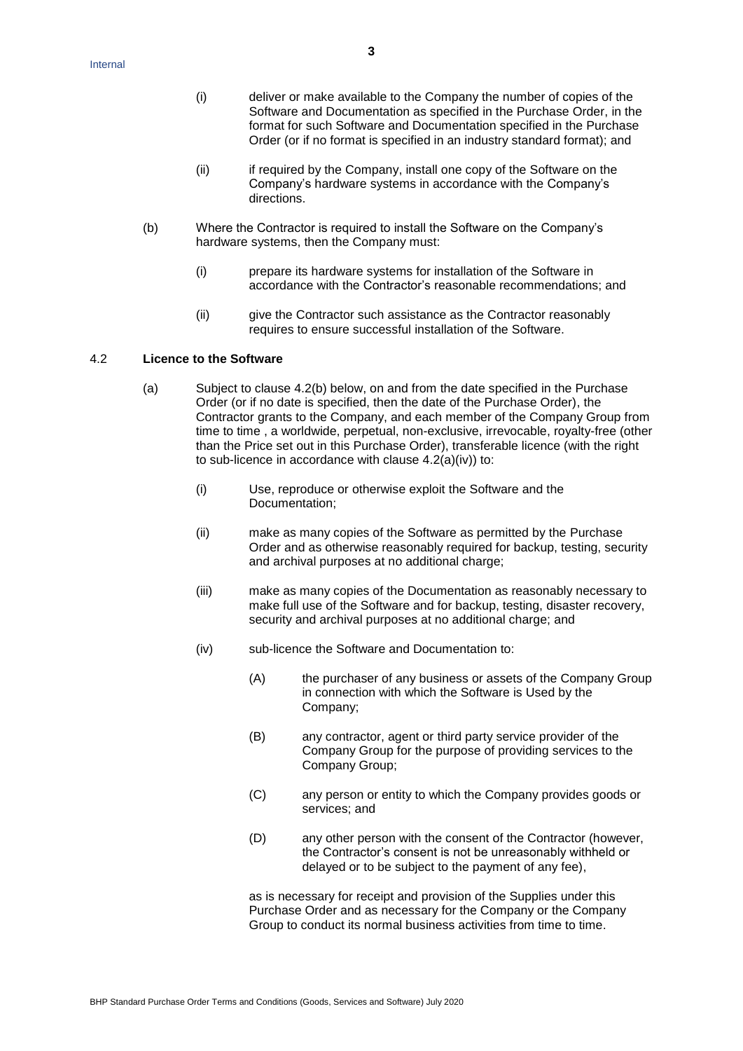- (i) deliver or make available to the Company the number of copies of the Software and Documentation as specified in the Purchase Order, in the format for such Software and Documentation specified in the Purchase Order (or if no format is specified in an industry standard format); and
- (ii) if required by the Company, install one copy of the Software on the Company's hardware systems in accordance with the Company's directions.
- (b) Where the Contractor is required to install the Software on the Company's hardware systems, then the Company must:
	- (i) prepare its hardware systems for installation of the Software in accordance with the Contractor's reasonable recommendations; and
	- (ii) give the Contractor such assistance as the Contractor reasonably requires to ensure successful installation of the Software.

#### <span id="page-2-1"></span>4.2 **Licence to the Software**

- <span id="page-2-0"></span>(a) Subject to clause 4.2(b) below, on and from the date specified in the Purchase Order (or if no date is specified, then the date of the Purchase Order), the Contractor grants to the Company, and each member of the Company Group from time to time , a worldwide, perpetual, non-exclusive, irrevocable, royalty-free (other than the Price set out in this Purchase Order), transferable licence (with the right to sub-licence in accordance with clause  $4.2(a)(iv)$  to:
	- (i) Use, reproduce or otherwise exploit the Software and the Documentation;
	- (ii) make as many copies of the Software as permitted by the Purchase Order and as otherwise reasonably required for backup, testing, security and archival purposes at no additional charge;
	- (iii) make as many copies of the Documentation as reasonably necessary to make full use of the Software and for backup, testing, disaster recovery, security and archival purposes at no additional charge; and
	- (iv) sub-licence the Software and Documentation to:
		- (A) the purchaser of any business or assets of the Company Group in connection with which the Software is Used by the Company;
		- (B) any contractor, agent or third party service provider of the Company Group for the purpose of providing services to the Company Group;
		- (C) any person or entity to which the Company provides goods or services; and
		- (D) any other person with the consent of the Contractor (however, the Contractor's consent is not be unreasonably withheld or delayed or to be subject to the payment of any fee),

as is necessary for receipt and provision of the Supplies under this Purchase Order and as necessary for the Company or the Company Group to conduct its normal business activities from time to time.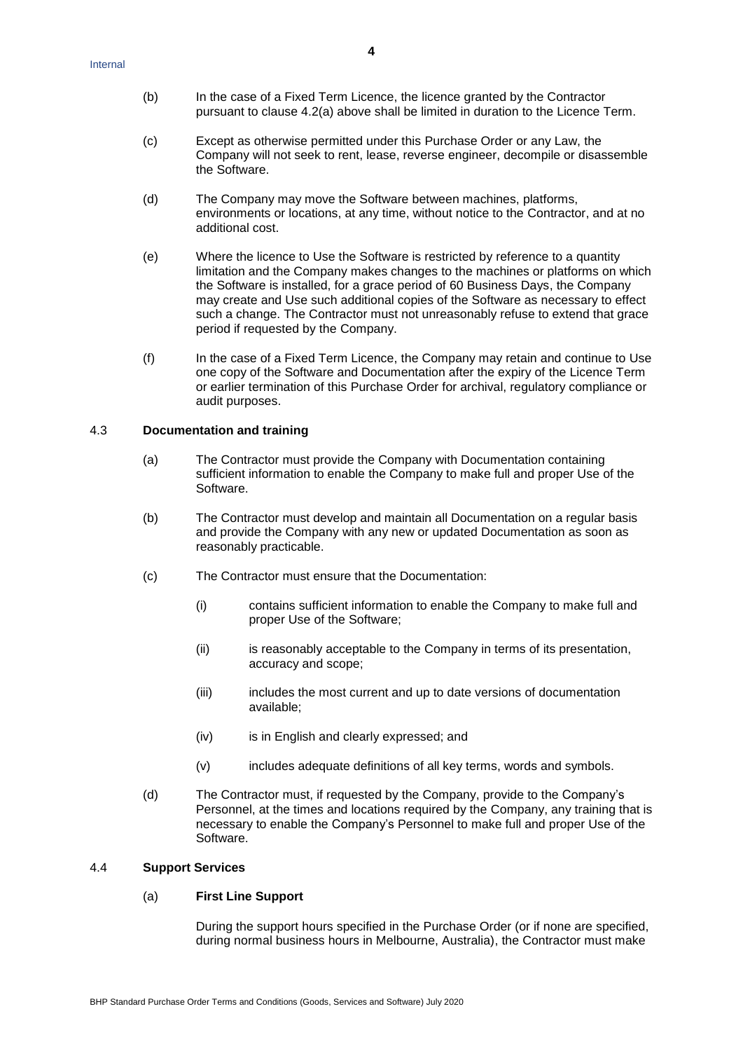- (b) In the case of a Fixed Term Licence, the licence granted by the Contractor pursuant to clause 4.2(a) above shall be limited in duration to the Licence Term.
- (c) Except as otherwise permitted under this Purchase Order or any Law, the Company will not seek to rent, lease, reverse engineer, decompile or disassemble the Software.
- (d) The Company may move the Software between machines, platforms, environments or locations, at any time, without notice to the Contractor, and at no additional cost.
- (e) Where the licence to Use the Software is restricted by reference to a quantity limitation and the Company makes changes to the machines or platforms on which the Software is installed, for a grace period of 60 Business Days, the Company may create and Use such additional copies of the Software as necessary to effect such a change. The Contractor must not unreasonably refuse to extend that grace period if requested by the Company.
- (f) In the case of a Fixed Term Licence, the Company may retain and continue to Use one copy of the Software and Documentation after the expiry of the Licence Term or earlier termination of this Purchase Order for archival, regulatory compliance or audit purposes.

### 4.3 **Documentation and training**

- (a) The Contractor must provide the Company with Documentation containing sufficient information to enable the Company to make full and proper Use of the Software.
- (b) The Contractor must develop and maintain all Documentation on a regular basis and provide the Company with any new or updated Documentation as soon as reasonably practicable.
- (c) The Contractor must ensure that the Documentation:
	- (i) contains sufficient information to enable the Company to make full and proper Use of the Software;
	- (ii) is reasonably acceptable to the Company in terms of its presentation, accuracy and scope;
	- (iii) includes the most current and up to date versions of documentation available;
	- (iv) is in English and clearly expressed; and
	- (v) includes adequate definitions of all key terms, words and symbols.
- (d) The Contractor must, if requested by the Company, provide to the Company's Personnel, at the times and locations required by the Company, any training that is necessary to enable the Company's Personnel to make full and proper Use of the Software.

# <span id="page-3-0"></span>4.4 **Support Services**

### (a) **First Line Support**

During the support hours specified in the Purchase Order (or if none are specified, during normal business hours in Melbourne, Australia), the Contractor must make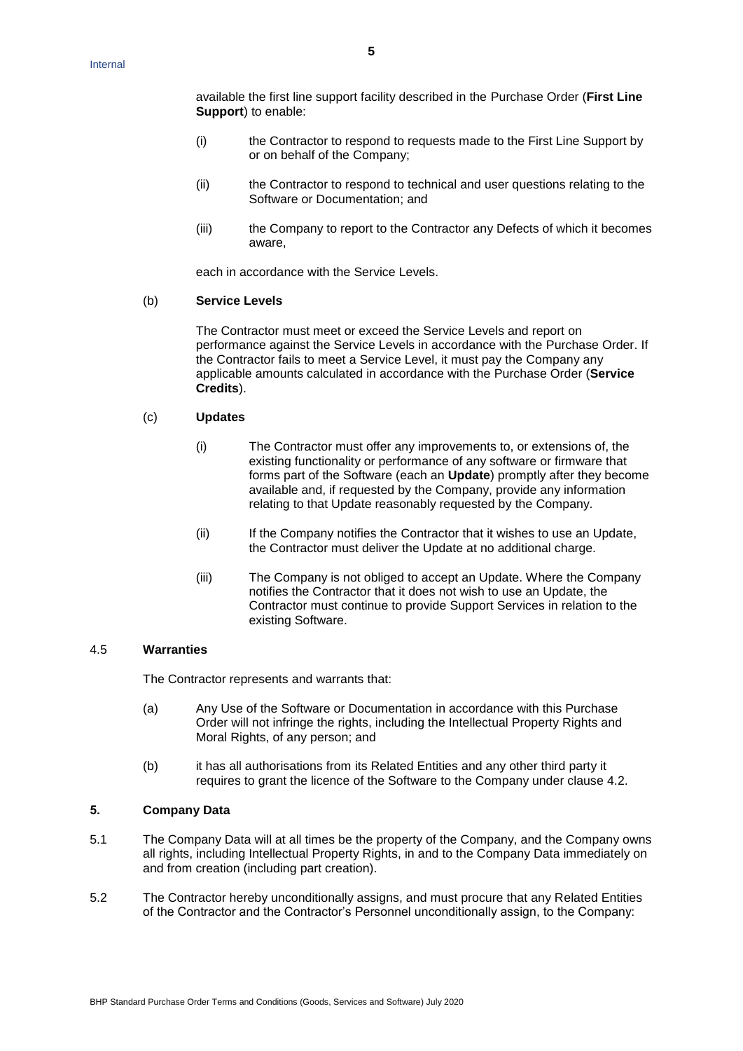available the first line support facility described in the Purchase Order (**First Line Support**) to enable:

- (i) the Contractor to respond to requests made to the First Line Support by or on behalf of the Company;
- (ii) the Contractor to respond to technical and user questions relating to the Software or Documentation; and
- (iii) the Company to report to the Contractor any Defects of which it becomes aware,

each in accordance with the Service Levels.

#### (b) **Service Levels**

The Contractor must meet or exceed the Service Levels and report on performance against the Service Levels in accordance with the Purchase Order. If the Contractor fails to meet a Service Level, it must pay the Company any applicable amounts calculated in accordance with the Purchase Order (**Service Credits**).

# (c) **Updates**

- (i) The Contractor must offer any improvements to, or extensions of, the existing functionality or performance of any software or firmware that forms part of the Software (each an **Update**) promptly after they become available and, if requested by the Company, provide any information relating to that Update reasonably requested by the Company.
- (ii) If the Company notifies the Contractor that it wishes to use an Update, the Contractor must deliver the Update at no additional charge.
- (iii) The Company is not obliged to accept an Update. Where the Company notifies the Contractor that it does not wish to use an Update, the Contractor must continue to provide Support Services in relation to the existing Software.

## 4.5 **Warranties**

The Contractor represents and warrants that:

- (a) Any Use of the Software or Documentation in accordance with this Purchase Order will not infringe the rights, including the Intellectual Property Rights and Moral Rights, of any person; and
- (b) it has all authorisations from its Related Entities and any other third party it requires to grant the licence of the Software to the Company under clause [4.2.](#page-2-1)

### <span id="page-4-0"></span>**5. Company Data**

- 5.1 The Company Data will at all times be the property of the Company, and the Company owns all rights, including Intellectual Property Rights, in and to the Company Data immediately on and from creation (including part creation).
- 5.2 The Contractor hereby unconditionally assigns, and must procure that any Related Entities of the Contractor and the Contractor's Personnel unconditionally assign, to the Company: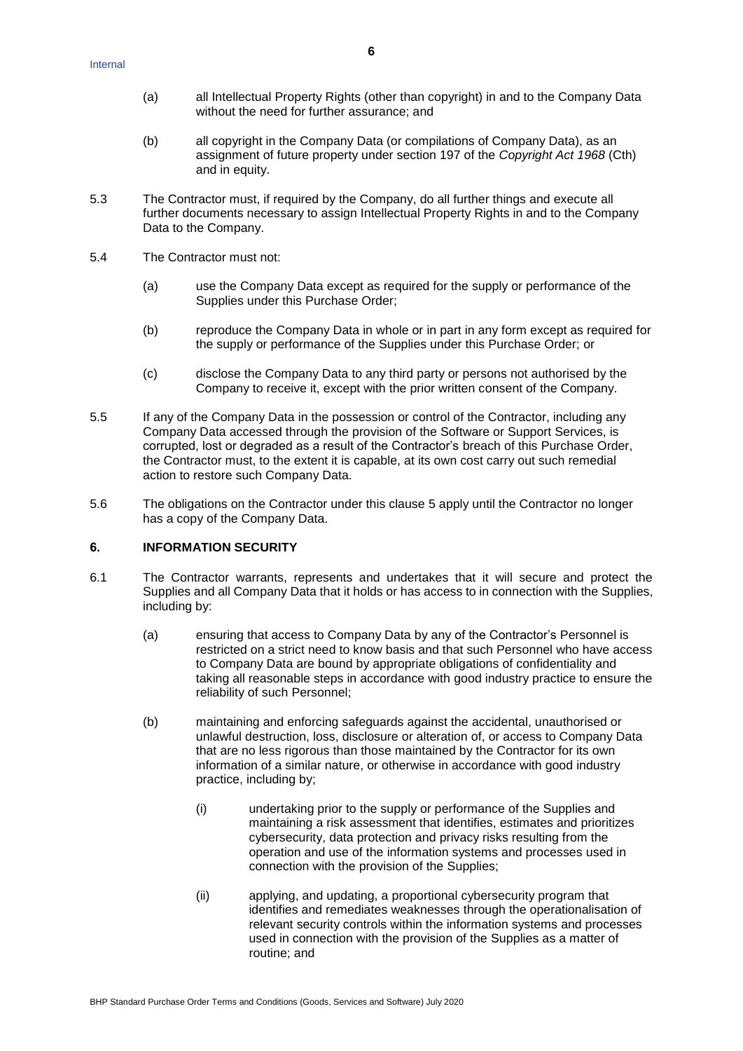- (a) all Intellectual Property Rights (other than copyright) in and to the Company Data without the need for further assurance; and
- (b) all copyright in the Company Data (or compilations of Company Data), as an assignment of future property under section 197 of the *Copyright Act 1968* (Cth) and in equity.
- 5.3 The Contractor must, if required by the Company, do all further things and execute all further documents necessary to assign Intellectual Property Rights in and to the Company Data to the Company.
- 5.4 The Contractor must not:
	- (a) use the Company Data except as required for the supply or performance of the Supplies under this Purchase Order;
	- (b) reproduce the Company Data in whole or in part in any form except as required for the supply or performance of the Supplies under this Purchase Order; or
	- (c) disclose the Company Data to any third party or persons not authorised by the Company to receive it, except with the prior written consent of the Company.
- 5.5 If any of the Company Data in the possession or control of the Contractor, including any Company Data accessed through the provision of the Software or Support Services, is corrupted, lost or degraded as a result of the Contractor's breach of this Purchase Order, the Contractor must, to the extent it is capable, at its own cost carry out such remedial action to restore such Company Data.
- 5.6 The obligations on the Contractor under this clause [5](#page-4-0) apply until the Contractor no longer has a copy of the Company Data.

### **6. INFORMATION SECURITY**

- 6.1 The Contractor warrants, represents and undertakes that it will secure and protect the Supplies and all Company Data that it holds or has access to in connection with the Supplies, including by:
	- (a) ensuring that access to Company Data by any of the Contractor's Personnel is restricted on a strict need to know basis and that such Personnel who have access to Company Data are bound by appropriate obligations of confidentiality and taking all reasonable steps in accordance with good industry practice to ensure the reliability of such Personnel;
	- (b) maintaining and enforcing safeguards against the accidental, unauthorised or unlawful destruction, loss, disclosure or alteration of, or access to Company Data that are no less rigorous than those maintained by the Contractor for its own information of a similar nature, or otherwise in accordance with good industry practice, including by;
		- (i) undertaking prior to the supply or performance of the Supplies and maintaining a risk assessment that identifies, estimates and prioritizes cybersecurity, data protection and privacy risks resulting from the operation and use of the information systems and processes used in connection with the provision of the Supplies;
		- (ii) applying, and updating, a proportional cybersecurity program that identifies and remediates weaknesses through the operationalisation of relevant security controls within the information systems and processes used in connection with the provision of the Supplies as a matter of routine; and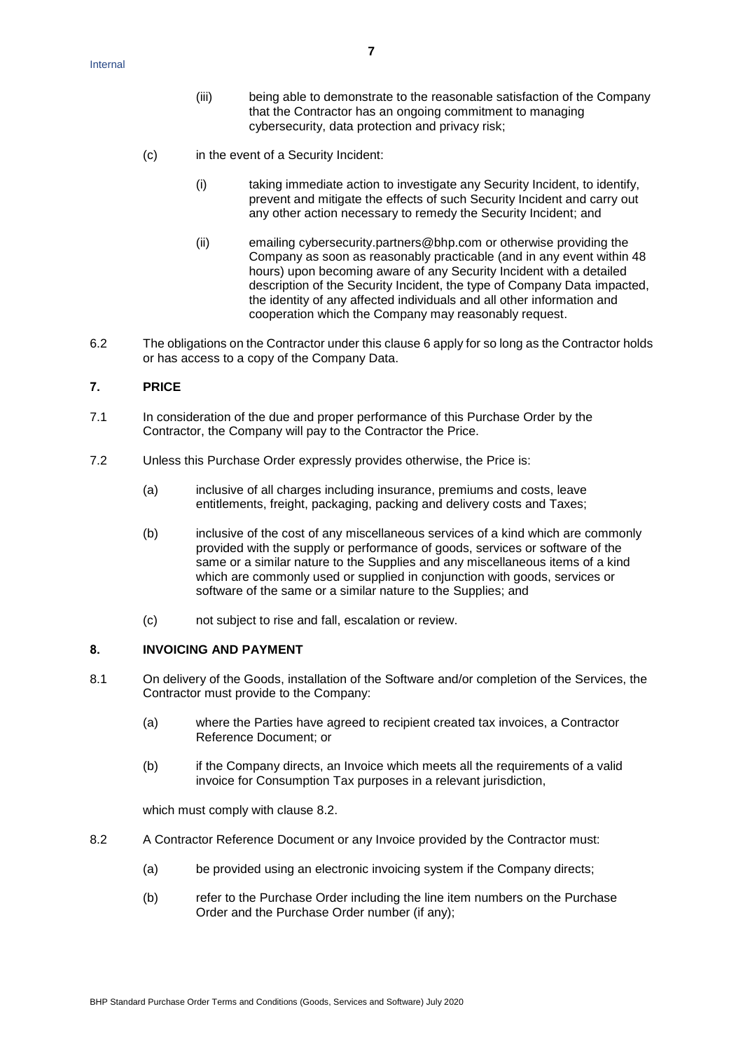- (iii) being able to demonstrate to the reasonable satisfaction of the Company that the Contractor has an ongoing commitment to managing cybersecurity, data protection and privacy risk;
- (c) in the event of a Security Incident:
	- (i) taking immediate action to investigate any Security Incident, to identify, prevent and mitigate the effects of such Security Incident and carry out any other action necessary to remedy the Security Incident; and
	- (ii) emailing [cybersecurity.partners@bhp.com](mailto:cybersecurity.partners@bhp.com) or otherwise providing the Company as soon as reasonably practicable (and in any event within 48 hours) upon becoming aware of any Security Incident with a detailed description of the Security Incident, the type of Company Data impacted, the identity of any affected individuals and all other information and cooperation which the Company may reasonably request.
- 6.2 The obligations on the Contractor under this clause 6 apply for so long as the Contractor holds or has access to a copy of the Company Data.

# **7. PRICE**

- 7.1 In consideration of the due and proper performance of this Purchase Order by the Contractor, the Company will pay to the Contractor the Price.
- 7.2 Unless this Purchase Order expressly provides otherwise, the Price is:
	- (a) inclusive of all charges including insurance, premiums and costs, leave entitlements, freight, packaging, packing and delivery costs and Taxes;
	- (b) inclusive of the cost of any miscellaneous services of a kind which are commonly provided with the supply or performance of goods, services or software of the same or a similar nature to the Supplies and any miscellaneous items of a kind which are commonly used or supplied in conjunction with goods, services or software of the same or a similar nature to the Supplies; and
	- (c) not subject to rise and fall, escalation or review.

## <span id="page-6-1"></span>**8. INVOICING AND PAYMENT**

- 8.1 On delivery of the Goods, installation of the Software and/or completion of the Services, the Contractor must provide to the Company:
	- (a) where the Parties have agreed to recipient created tax invoices, a Contractor Reference Document; or
	- (b) if the Company directs, an Invoice which meets all the requirements of a valid invoice for Consumption Tax purposes in a relevant jurisdiction,

which must comply with clause [8.2.](#page-6-0)

- <span id="page-6-0"></span>8.2 A Contractor Reference Document or any Invoice provided by the Contractor must:
	- (a) be provided using an electronic invoicing system if the Company directs;
	- (b) refer to the Purchase Order including the line item numbers on the Purchase Order and the Purchase Order number (if any);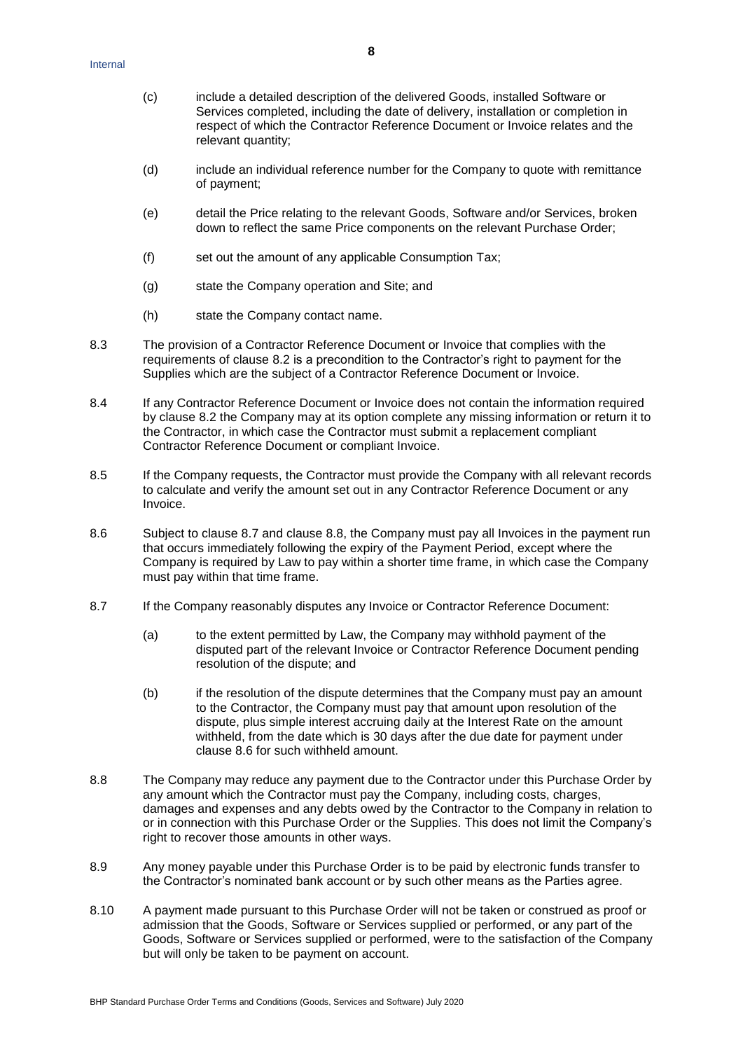- (c) include a detailed description of the delivered Goods, installed Software or Services completed, including the date of delivery, installation or completion in respect of which the Contractor Reference Document or Invoice relates and the relevant quantity;
- (d) include an individual reference number for the Company to quote with remittance of payment;
- (e) detail the Price relating to the relevant Goods, Software and/or Services, broken down to reflect the same Price components on the relevant Purchase Order;
- (f) set out the amount of any applicable Consumption Tax;
- (g) state the Company operation and Site; and
- (h) state the Company contact name.
- 8.3 The provision of a Contractor Reference Document or Invoice that complies with the requirements of clause [8.2](#page-6-0) is a precondition to the Contractor's right to payment for the Supplies which are the subject of a Contractor Reference Document or Invoice.
- 8.4 If any Contractor Reference Document or Invoice does not contain the information required by clause [8.2](#page-6-0) the Company may at its option complete any missing information or return it to the Contractor, in which case the Contractor must submit a replacement compliant Contractor Reference Document or compliant Invoice.
- 8.5 If the Company requests, the Contractor must provide the Company with all relevant records to calculate and verify the amount set out in any Contractor Reference Document or any Invoice.
- 8.6 Subject to clause [8.7](#page-7-0) and clause [8.8,](#page-7-1) the Company must pay all Invoices in the payment run that occurs immediately following the expiry of the Payment Period, except where the Company is required by Law to pay within a shorter time frame, in which case the Company must pay within that time frame.
- <span id="page-7-0"></span>8.7 If the Company reasonably disputes any Invoice or Contractor Reference Document:
	- (a) to the extent permitted by Law, the Company may withhold payment of the disputed part of the relevant Invoice or Contractor Reference Document pending resolution of the dispute; and
	- (b) if the resolution of the dispute determines that the Company must pay an amount to the Contractor, the Company must pay that amount upon resolution of the dispute, plus simple interest accruing daily at the Interest Rate on the amount withheld, from the date which is 30 days after the due date for payment under clause 8.6 for such withheld amount.
- <span id="page-7-1"></span>8.8 The Company may reduce any payment due to the Contractor under this Purchase Order by any amount which the Contractor must pay the Company, including costs, charges, damages and expenses and any debts owed by the Contractor to the Company in relation to or in connection with this Purchase Order or the Supplies. This does not limit the Company's right to recover those amounts in other ways.
- 8.9 Any money payable under this Purchase Order is to be paid by electronic funds transfer to the Contractor's nominated bank account or by such other means as the Parties agree.
- 8.10 A payment made pursuant to this Purchase Order will not be taken or construed as proof or admission that the Goods, Software or Services supplied or performed, or any part of the Goods, Software or Services supplied or performed, were to the satisfaction of the Company but will only be taken to be payment on account.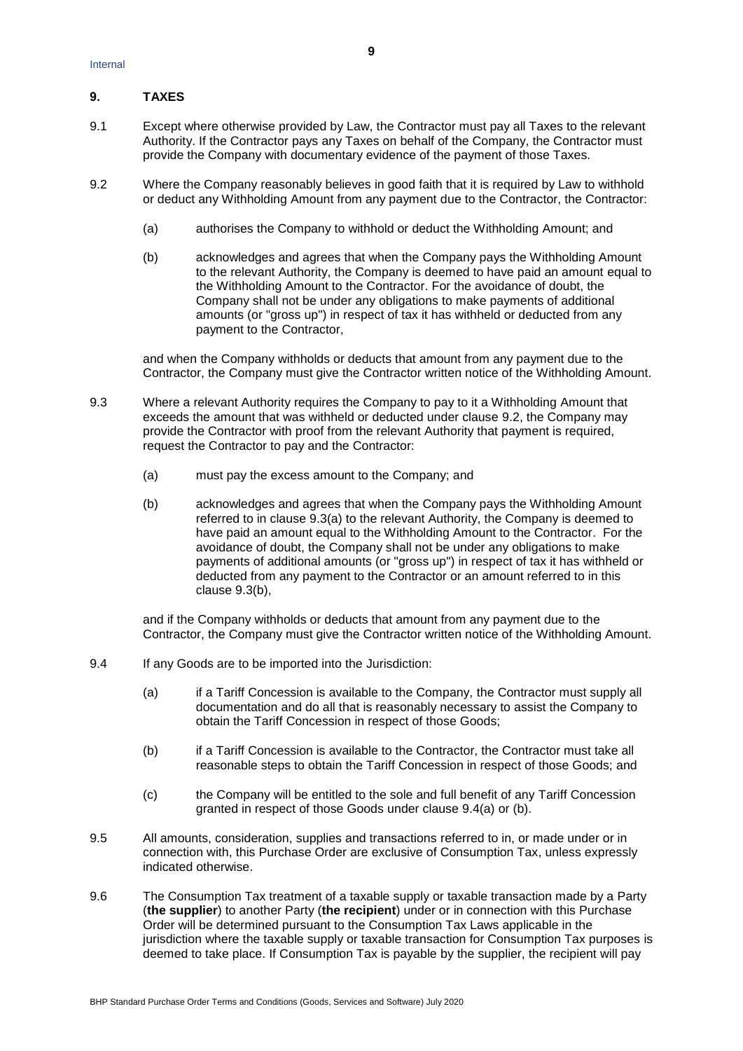# **9. TAXES**

- 9.1 Except where otherwise provided by Law, the Contractor must pay all Taxes to the relevant Authority. If the Contractor pays any Taxes on behalf of the Company, the Contractor must provide the Company with documentary evidence of the payment of those Taxes.
- <span id="page-8-0"></span>9.2 Where the Company reasonably believes in good faith that it is required by Law to withhold or deduct any Withholding Amount from any payment due to the Contractor, the Contractor:
	- (a) authorises the Company to withhold or deduct the Withholding Amount; and
	- (b) acknowledges and agrees that when the Company pays the Withholding Amount to the relevant Authority, the Company is deemed to have paid an amount equal to the Withholding Amount to the Contractor. For the avoidance of doubt, the Company shall not be under any obligations to make payments of additional amounts (or "gross up") in respect of tax it has withheld or deducted from any payment to the Contractor,

and when the Company withholds or deducts that amount from any payment due to the Contractor, the Company must give the Contractor written notice of the Withholding Amount.

- <span id="page-8-2"></span><span id="page-8-1"></span>9.3 Where a relevant Authority requires the Company to pay to it a Withholding Amount that exceeds the amount that was withheld or deducted under clause [9.2,](#page-8-0) the Company may provide the Contractor with proof from the relevant Authority that payment is required, request the Contractor to pay and the Contractor:
	- (a) must pay the excess amount to the Company; and
	- (b) acknowledges and agrees that when the Company pays the Withholding Amount referred to in clause [9.3\(a\)](#page-8-1) to the relevant Authority, the Company is deemed to have paid an amount equal to the Withholding Amount to the Contractor. For the avoidance of doubt, the Company shall not be under any obligations to make payments of additional amounts (or "gross up") in respect of tax it has withheld or deducted from any payment to the Contractor or an amount referred to in this clause [9.3\(b\),](#page-8-2)

and if the Company withholds or deducts that amount from any payment due to the Contractor, the Company must give the Contractor written notice of the Withholding Amount.

- <span id="page-8-4"></span><span id="page-8-3"></span>9.4 If any Goods are to be imported into the Jurisdiction:
	- (a) if a Tariff Concession is available to the Company, the Contractor must supply all documentation and do all that is reasonably necessary to assist the Company to obtain the Tariff Concession in respect of those Goods;
	- (b) if a Tariff Concession is available to the Contractor, the Contractor must take all reasonable steps to obtain the Tariff Concession in respect of those Goods; and
	- (c) the Company will be entitled to the sole and full benefit of any Tariff Concession granted in respect of those Goods under clause [9.4\(a\)](#page-8-3) or [\(b\).](#page-8-4)
- 9.5 All amounts, consideration, supplies and transactions referred to in, or made under or in connection with, this Purchase Order are exclusive of Consumption Tax, unless expressly indicated otherwise.
- <span id="page-8-5"></span>9.6 The Consumption Tax treatment of a taxable supply or taxable transaction made by a Party (**the supplier**) to another Party (**the recipient**) under or in connection with this Purchase Order will be determined pursuant to the Consumption Tax Laws applicable in the jurisdiction where the taxable supply or taxable transaction for Consumption Tax purposes is deemed to take place. If Consumption Tax is payable by the supplier, the recipient will pay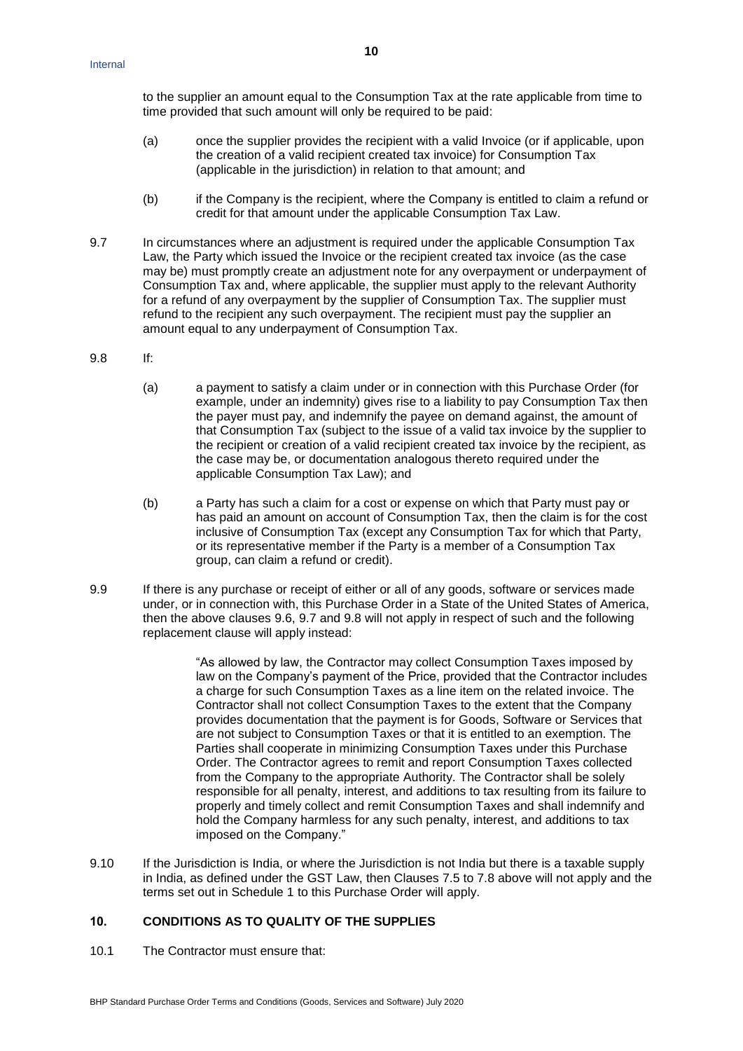to the supplier an amount equal to the Consumption Tax at the rate applicable from time to time provided that such amount will only be required to be paid:

- (a) once the supplier provides the recipient with a valid Invoice (or if applicable, upon the creation of a valid recipient created tax invoice) for Consumption Tax (applicable in the jurisdiction) in relation to that amount; and
- (b) if the Company is the recipient, where the Company is entitled to claim a refund or credit for that amount under the applicable Consumption Tax Law.
- <span id="page-9-0"></span>9.7 In circumstances where an adjustment is required under the applicable Consumption Tax Law, the Party which issued the Invoice or the recipient created tax invoice (as the case may be) must promptly create an adjustment note for any overpayment or underpayment of Consumption Tax and, where applicable, the supplier must apply to the relevant Authority for a refund of any overpayment by the supplier of Consumption Tax. The supplier must refund to the recipient any such overpayment. The recipient must pay the supplier an amount equal to any underpayment of Consumption Tax.
- <span id="page-9-1"></span>9.8 If:
	- (a) a payment to satisfy a claim under or in connection with this Purchase Order (for example, under an indemnity) gives rise to a liability to pay Consumption Tax then the payer must pay, and indemnify the payee on demand against, the amount of that Consumption Tax (subject to the issue of a valid tax invoice by the supplier to the recipient or creation of a valid recipient created tax invoice by the recipient, as the case may be, or documentation analogous thereto required under the applicable Consumption Tax Law); and
	- (b) a Party has such a claim for a cost or expense on which that Party must pay or has paid an amount on account of Consumption Tax, then the claim is for the cost inclusive of Consumption Tax (except any Consumption Tax for which that Party, or its representative member if the Party is a member of a Consumption Tax group, can claim a refund or credit).
- <span id="page-9-2"></span>9.9 If there is any purchase or receipt of either or all of any goods, software or services made under, or in connection with, this Purchase Order in a State of the United States of America, then the above clauses [9.6,](#page-8-5) [9.7](#page-9-0) and [9.8](#page-9-1) will not apply in respect of such and the following replacement clause will apply instead:

"As allowed by law, the Contractor may collect Consumption Taxes imposed by law on the Company's payment of the Price, provided that the Contractor includes a charge for such Consumption Taxes as a line item on the related invoice. The Contractor shall not collect Consumption Taxes to the extent that the Company provides documentation that the payment is for Goods, Software or Services that are not subject to Consumption Taxes or that it is entitled to an exemption. The Parties shall cooperate in minimizing Consumption Taxes under this Purchase Order. The Contractor agrees to remit and report Consumption Taxes collected from the Company to the appropriate Authority. The Contractor shall be solely responsible for all penalty, interest, and additions to tax resulting from its failure to properly and timely collect and remit Consumption Taxes and shall indemnify and hold the Company harmless for any such penalty, interest, and additions to tax imposed on the Company."

9.10 If the Jurisdiction is India, or where the Jurisdiction is not India but there is a taxable supply in India, as defined under the GST Law, then Clauses 7.5 to 7.8 above will not apply and the terms set out in Schedule 1 to this Purchase Order will apply.

### **10. CONDITIONS AS TO QUALITY OF THE SUPPLIES**

10.1 The Contractor must ensure that: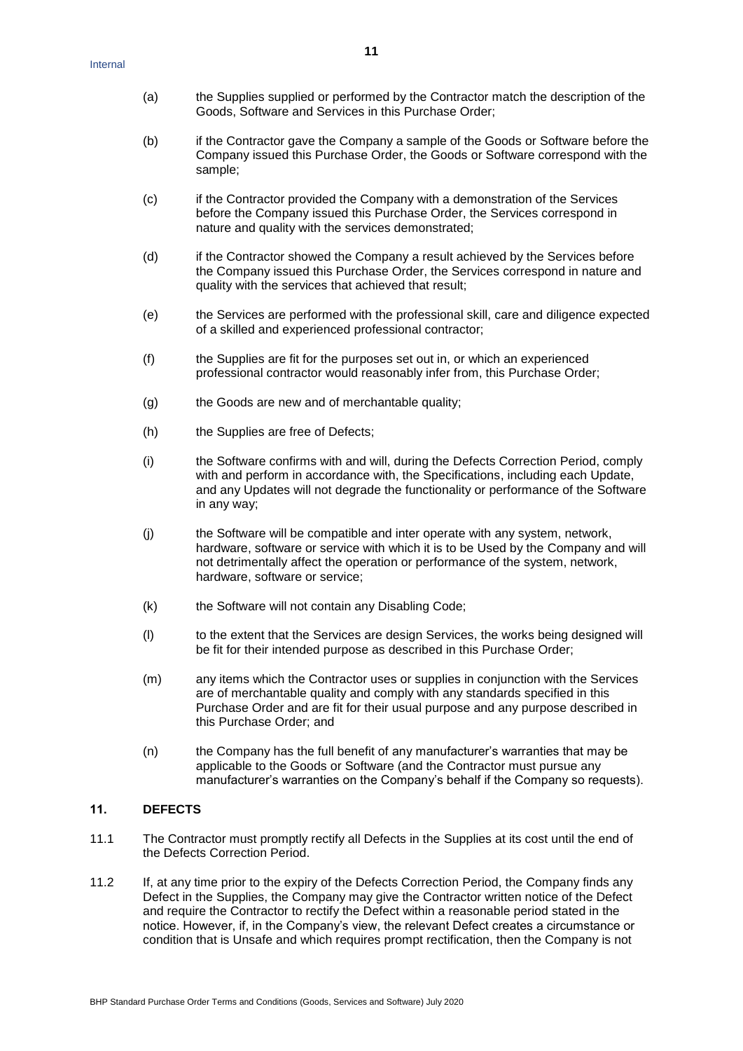- (a) the Supplies supplied or performed by the Contractor match the description of the Goods, Software and Services in this Purchase Order;
- (b) if the Contractor gave the Company a sample of the Goods or Software before the Company issued this Purchase Order, the Goods or Software correspond with the sample;
- (c) if the Contractor provided the Company with a demonstration of the Services before the Company issued this Purchase Order, the Services correspond in nature and quality with the services demonstrated;
- (d) if the Contractor showed the Company a result achieved by the Services before the Company issued this Purchase Order, the Services correspond in nature and quality with the services that achieved that result;
- (e) the Services are performed with the professional skill, care and diligence expected of a skilled and experienced professional contractor;
- (f) the Supplies are fit for the purposes set out in, or which an experienced professional contractor would reasonably infer from, this Purchase Order;
- (g) the Goods are new and of merchantable quality;
- (h) the Supplies are free of Defects;
- (i) the Software confirms with and will, during the Defects Correction Period, comply with and perform in accordance with, the Specifications, including each Update, and any Updates will not degrade the functionality or performance of the Software in any way;
- (j) the Software will be compatible and inter operate with any system, network, hardware, software or service with which it is to be Used by the Company and will not detrimentally affect the operation or performance of the system, network, hardware, software or service;
- (k) the Software will not contain any Disabling Code;
- (l) to the extent that the Services are design Services, the works being designed will be fit for their intended purpose as described in this Purchase Order;
- (m) any items which the Contractor uses or supplies in conjunction with the Services are of merchantable quality and comply with any standards specified in this Purchase Order and are fit for their usual purpose and any purpose described in this Purchase Order; and
- (n) the Company has the full benefit of any manufacturer's warranties that may be applicable to the Goods or Software (and the Contractor must pursue any manufacturer's warranties on the Company's behalf if the Company so requests).

### <span id="page-10-1"></span>**11. DEFECTS**

- 11.1 The Contractor must promptly rectify all Defects in the Supplies at its cost until the end of the Defects Correction Period.
- <span id="page-10-0"></span>11.2 If, at any time prior to the expiry of the Defects Correction Period, the Company finds any Defect in the Supplies, the Company may give the Contractor written notice of the Defect and require the Contractor to rectify the Defect within a reasonable period stated in the notice. However, if, in the Company's view, the relevant Defect creates a circumstance or condition that is Unsafe and which requires prompt rectification, then the Company is not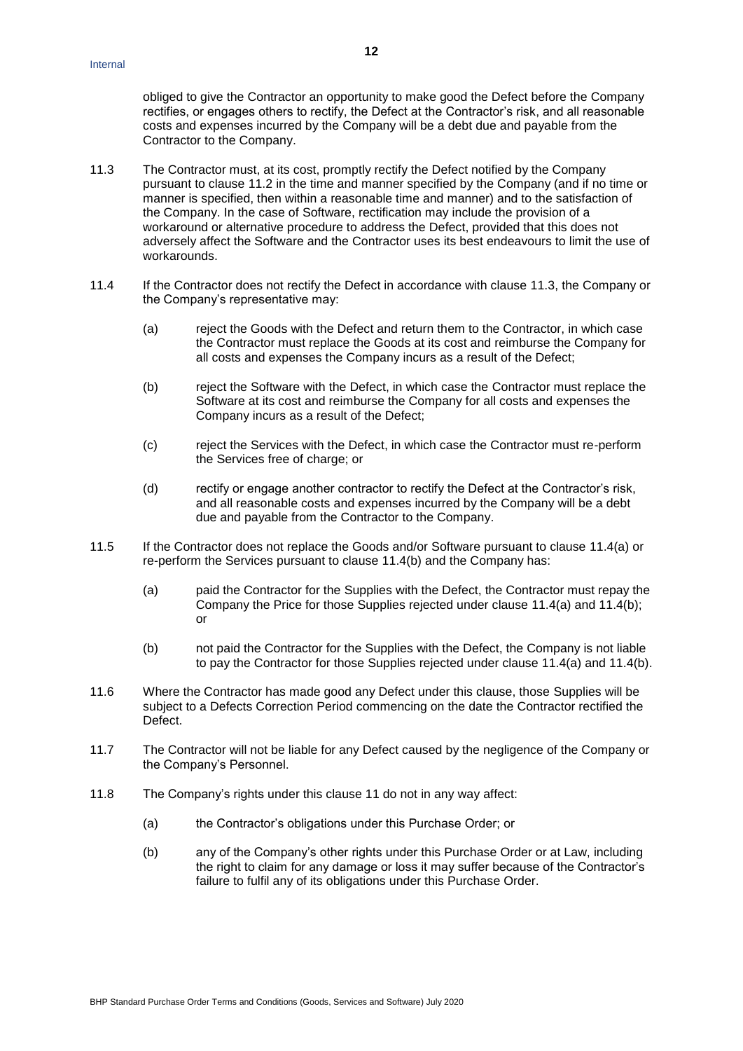obliged to give the Contractor an opportunity to make good the Defect before the Company rectifies, or engages others to rectify, the Defect at the Contractor's risk, and all reasonable costs and expenses incurred by the Company will be a debt due and payable from the Contractor to the Company.

- <span id="page-11-0"></span>11.3 The Contractor must, at its cost, promptly rectify the Defect notified by the Company pursuant to clause [11.2](#page-10-0) in the time and manner specified by the Company (and if no time or manner is specified, then within a reasonable time and manner) and to the satisfaction of the Company. In the case of Software, rectification may include the provision of a workaround or alternative procedure to address the Defect, provided that this does not adversely affect the Software and the Contractor uses its best endeavours to limit the use of workarounds.
- <span id="page-11-2"></span><span id="page-11-1"></span>11.4 If the Contractor does not rectify the Defect in accordance with clause [11.3,](#page-11-0) the Company or the Company's representative may:
	- (a) reject the Goods with the Defect and return them to the Contractor, in which case the Contractor must replace the Goods at its cost and reimburse the Company for all costs and expenses the Company incurs as a result of the Defect;
	- (b) reject the Software with the Defect, in which case the Contractor must replace the Software at its cost and reimburse the Company for all costs and expenses the Company incurs as a result of the Defect;
	- (c) reject the Services with the Defect, in which case the Contractor must re-perform the Services free of charge; or
	- (d) rectify or engage another contractor to rectify the Defect at the Contractor's risk, and all reasonable costs and expenses incurred by the Company will be a debt due and payable from the Contractor to the Company.
- 11.5 If the Contractor does not replace the Goods and/or Software pursuant to clause [11.4\(a\)](#page-11-1) or re-perform the Services pursuant to clause [11.4\(b\)](#page-11-2) and the Company has:
	- (a) paid the Contractor for the Supplies with the Defect, the Contractor must repay the Company the Price for those Supplies rejected under clause [11.4\(a\)](#page-11-1) and [11.4\(b\);](#page-11-2) or
	- (b) not paid the Contractor for the Supplies with the Defect, the Company is not liable to pay the Contractor for those Supplies rejected under clause [11.4\(a\)](#page-11-1) and [11.4\(b\).](#page-11-2)
- 11.6 Where the Contractor has made good any Defect under this clause, those Supplies will be subject to a Defects Correction Period commencing on the date the Contractor rectified the Defect.
- 11.7 The Contractor will not be liable for any Defect caused by the negligence of the Company or the Company's Personnel.
- 11.8 The Company's rights under this clause [11](#page-10-1) do not in any way affect:
	- (a) the Contractor's obligations under this Purchase Order; or
	- (b) any of the Company's other rights under this Purchase Order or at Law, including the right to claim for any damage or loss it may suffer because of the Contractor's failure to fulfil any of its obligations under this Purchase Order.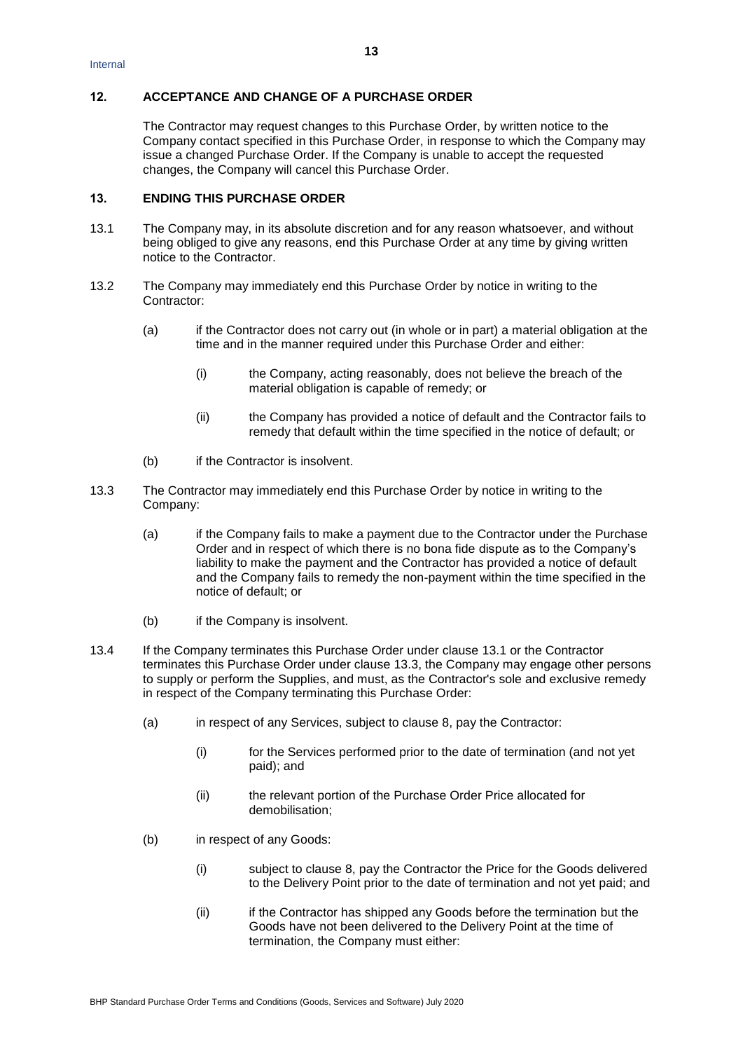## **12. ACCEPTANCE AND CHANGE OF A PURCHASE ORDER**

The Contractor may request changes to this Purchase Order, by written notice to the Company contact specified in this Purchase Order, in response to which the Company may issue a changed Purchase Order. If the Company is unable to accept the requested changes, the Company will cancel this Purchase Order.

# <span id="page-12-2"></span>**13. ENDING THIS PURCHASE ORDER**

- <span id="page-12-0"></span>13.1 The Company may, in its absolute discretion and for any reason whatsoever, and without being obliged to give any reasons, end this Purchase Order at any time by giving written notice to the Contractor.
- <span id="page-12-3"></span>13.2 The Company may immediately end this Purchase Order by notice in writing to the Contractor:
	- (a) if the Contractor does not carry out (in whole or in part) a material obligation at the time and in the manner required under this Purchase Order and either:
		- (i) the Company, acting reasonably, does not believe the breach of the material obligation is capable of remedy; or
		- (ii) the Company has provided a notice of default and the Contractor fails to remedy that default within the time specified in the notice of default; or
	- (b) if the Contractor is insolvent.
- <span id="page-12-1"></span>13.3 The Contractor may immediately end this Purchase Order by notice in writing to the Company:
	- (a) if the Company fails to make a payment due to the Contractor under the Purchase Order and in respect of which there is no bona fide dispute as to the Company's liability to make the payment and the Contractor has provided a notice of default and the Company fails to remedy the non-payment within the time specified in the notice of default; or
	- (b) if the Company is insolvent.
- 13.4 If the Company terminates this Purchase Order under clause [13.1](#page-12-0) or the Contractor terminates this Purchase Order under clause [13.3,](#page-12-1) the Company may engage other persons to supply or perform the Supplies, and must, as the Contractor's sole and exclusive remedy in respect of the Company terminating this Purchase Order:
	- (a) in respect of any Services, subject to clause [8,](#page-6-1) pay the Contractor:
		- (i) for the Services performed prior to the date of termination (and not yet paid); and
		- (ii) the relevant portion of the Purchase Order Price allocated for demobilisation;
	- (b) in respect of any Goods:
		- (i) subject to clause [8,](#page-6-1) pay the Contractor the Price for the Goods delivered to the Delivery Point prior to the date of termination and not yet paid; and
		- (ii) if the Contractor has shipped any Goods before the termination but the Goods have not been delivered to the Delivery Point at the time of termination, the Company must either: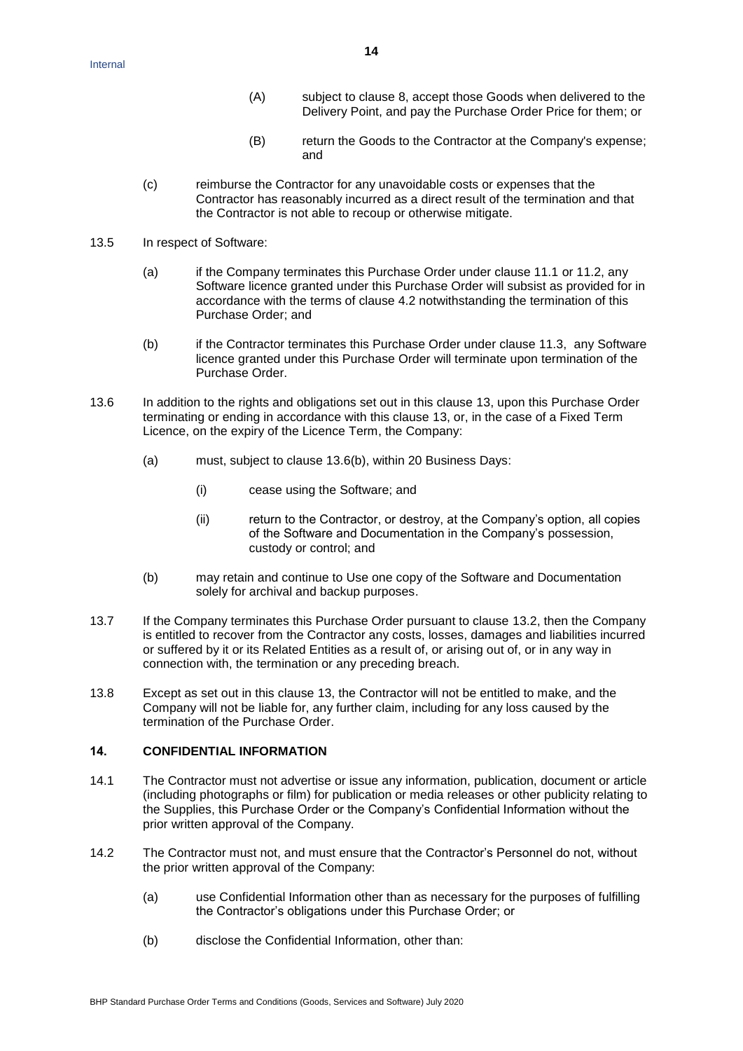- (A) subject to clause [8,](#page-6-1) accept those Goods when delivered to the Delivery Point, and pay the Purchase Order Price for them; or
- (B) return the Goods to the Contractor at the Company's expense; and
- (c) reimburse the Contractor for any unavoidable costs or expenses that the Contractor has reasonably incurred as a direct result of the termination and that the Contractor is not able to recoup or otherwise mitigate.
- 13.5 In respect of Software:
	- (a) if the Company terminates this Purchase Order under clause 11.1 or 11.2, any Software licence granted under this Purchase Order will subsist as provided for in accordance with the terms of clause 4.2 notwithstanding the termination of this Purchase Order; and
	- (b) if the Contractor terminates this Purchase Order under clause 11.3, any Software licence granted under this Purchase Order will terminate upon termination of the Purchase Order.
- 13.6 In addition to the rights and obligations set out in this clause [13,](#page-12-2) upon this Purchase Order terminating or ending in accordance with this clause [13,](#page-12-2) or, in the case of a Fixed Term Licence, on the expiry of the Licence Term, the Company:
	- (a) must, subject to clause [13.6\(b\),](#page-13-0) within 20 Business Days:
		- (i) cease using the Software; and
		- (ii) return to the Contractor, or destroy, at the Company's option, all copies of the Software and Documentation in the Company's possession, custody or control; and
	- (b) may retain and continue to Use one copy of the Software and Documentation solely for archival and backup purposes.
- <span id="page-13-0"></span>13.7 If the Company terminates this Purchase Order pursuant to clause [13.2,](#page-12-3) then the Company is entitled to recover from the Contractor any costs, losses, damages and liabilities incurred or suffered by it or its Related Entities as a result of, or arising out of, or in any way in connection with, the termination or any preceding breach.
- 13.8 Except as set out in this clause [13,](#page-12-2) the Contractor will not be entitled to make, and the Company will not be liable for, any further claim, including for any loss caused by the termination of the Purchase Order.

# <span id="page-13-1"></span>**14. CONFIDENTIAL INFORMATION**

- 14.1 The Contractor must not advertise or issue any information, publication, document or article (including photographs or film) for publication or media releases or other publicity relating to the Supplies, this Purchase Order or the Company's Confidential Information without the prior written approval of the Company.
- 14.2 The Contractor must not, and must ensure that the Contractor's Personnel do not, without the prior written approval of the Company:
	- (a) use Confidential Information other than as necessary for the purposes of fulfilling the Contractor's obligations under this Purchase Order; or
	- (b) disclose the Confidential Information, other than: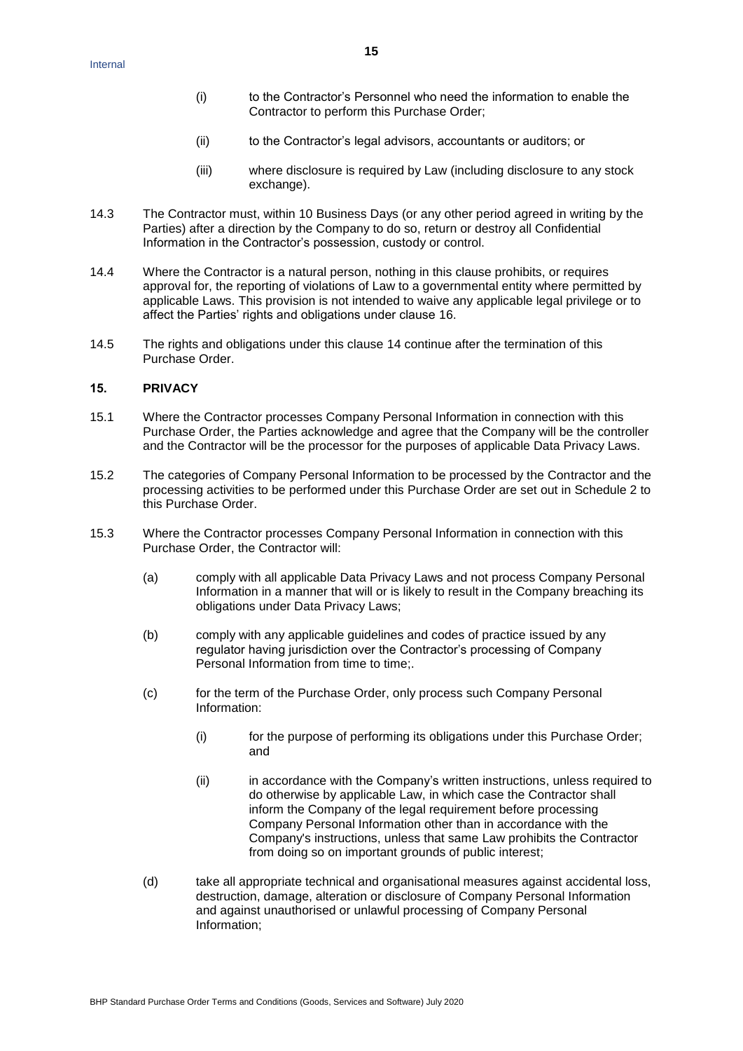- (i) to the Contractor's Personnel who need the information to enable the Contractor to perform this Purchase Order;
- (ii) to the Contractor's legal advisors, accountants or auditors; or
- (iii) where disclosure is required by Law (including disclosure to any stock exchange).
- 14.3 The Contractor must, within 10 Business Days (or any other period agreed in writing by the Parties) after a direction by the Company to do so, return or destroy all Confidential Information in the Contractor's possession, custody or control.
- 14.4 Where the Contractor is a natural person, nothing in this clause prohibits, or requires approval for, the reporting of violations of Law to a governmental entity where permitted by applicable Laws. This provision is not intended to waive any applicable legal privilege or to affect the Parties' rights and obligations under clause [16.](#page-15-0)
- 14.5 The rights and obligations under this clause [14](#page-13-1) continue after the termination of this Purchase Order.

# **15. PRIVACY**

- 15.1 Where the Contractor processes Company Personal Information in connection with this Purchase Order, the Parties acknowledge and agree that the Company will be the controller and the Contractor will be the processor for the purposes of applicable Data Privacy Laws.
- 15.2 The categories of Company Personal Information to be processed by the Contractor and the processing activities to be performed under this Purchase Order are set out in Schedule 2 to this Purchase Order.
- 15.3 Where the Contractor processes Company Personal Information in connection with this Purchase Order, the Contractor will:
	- (a) comply with all applicable Data Privacy Laws and not process Company Personal Information in a manner that will or is likely to result in the Company breaching its obligations under Data Privacy Laws;
	- (b) comply with any applicable guidelines and codes of practice issued by any regulator having jurisdiction over the Contractor's processing of Company Personal Information from time to time:
	- (c) for the term of the Purchase Order, only process such Company Personal Information:
		- (i) for the purpose of performing its obligations under this Purchase Order; and
		- (ii) in accordance with the Company's written instructions, unless required to do otherwise by applicable Law, in which case the Contractor shall inform the Company of the legal requirement before processing Company Personal Information other than in accordance with the Company's instructions, unless that same Law prohibits the Contractor from doing so on important grounds of public interest;
	- (d) take all appropriate technical and organisational measures against accidental loss, destruction, damage, alteration or disclosure of Company Personal Information and against unauthorised or unlawful processing of Company Personal Information;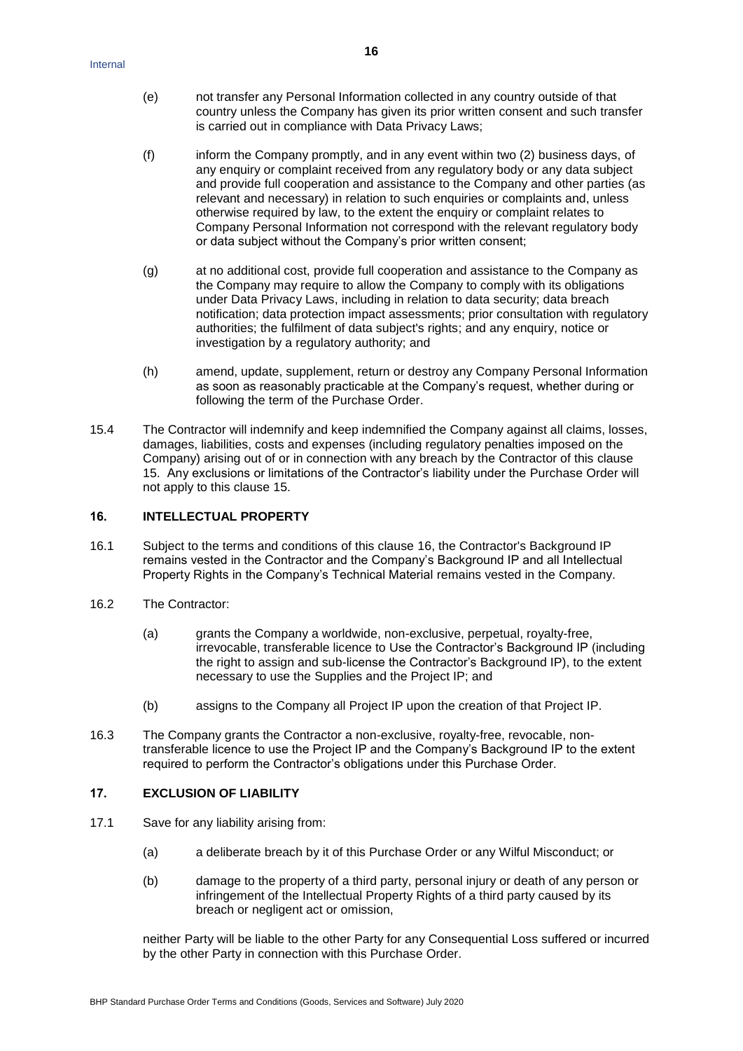- (e) not transfer any Personal Information collected in any country outside of that country unless the Company has given its prior written consent and such transfer is carried out in compliance with Data Privacy Laws;
- (f) inform the Company promptly, and in any event within two (2) business days, of any enquiry or complaint received from any regulatory body or any data subject and provide full cooperation and assistance to the Company and other parties (as relevant and necessary) in relation to such enquiries or complaints and, unless otherwise required by law, to the extent the enquiry or complaint relates to Company Personal Information not correspond with the relevant regulatory body or data subject without the Company's prior written consent;
- (g) at no additional cost, provide full cooperation and assistance to the Company as the Company may require to allow the Company to comply with its obligations under Data Privacy Laws, including in relation to data security; data breach notification; data protection impact assessments; prior consultation with regulatory authorities; the fulfilment of data subject's rights; and any enquiry, notice or investigation by a regulatory authority; and
- (h) amend, update, supplement, return or destroy any Company Personal Information as soon as reasonably practicable at the Company's request, whether during or following the term of the Purchase Order.
- 15.4 The Contractor will indemnify and keep indemnified the Company against all claims, losses, damages, liabilities, costs and expenses (including regulatory penalties imposed on the Company) arising out of or in connection with any breach by the Contractor of this clause 15. Any exclusions or limitations of the Contractor's liability under the Purchase Order will not apply to this clause 15.

# <span id="page-15-0"></span>**16. INTELLECTUAL PROPERTY**

- 16.1 Subject to the terms and conditions of this clause [16,](#page-15-0) the Contractor's Background IP remains vested in the Contractor and the Company's Background IP and all Intellectual Property Rights in the Company's Technical Material remains vested in the Company.
- 16.2 The Contractor:
	- (a) grants the Company a worldwide, non-exclusive, perpetual, royalty-free, irrevocable, transferable licence to Use the Contractor's Background IP (including the right to assign and sub-license the Contractor's Background IP), to the extent necessary to use the Supplies and the Project IP; and
	- (b) assigns to the Company all Project IP upon the creation of that Project IP.
- 16.3 The Company grants the Contractor a non-exclusive, royalty-free, revocable, nontransferable licence to use the Project IP and the Company's Background IP to the extent required to perform the Contractor's obligations under this Purchase Order.

# **17. EXCLUSION OF LIABILITY**

- 17.1 Save for any liability arising from:
	- (a) a deliberate breach by it of this Purchase Order or any Wilful Misconduct; or
	- (b) damage to the property of a third party, personal injury or death of any person or infringement of the Intellectual Property Rights of a third party caused by its breach or negligent act or omission,

neither Party will be liable to the other Party for any Consequential Loss suffered or incurred by the other Party in connection with this Purchase Order.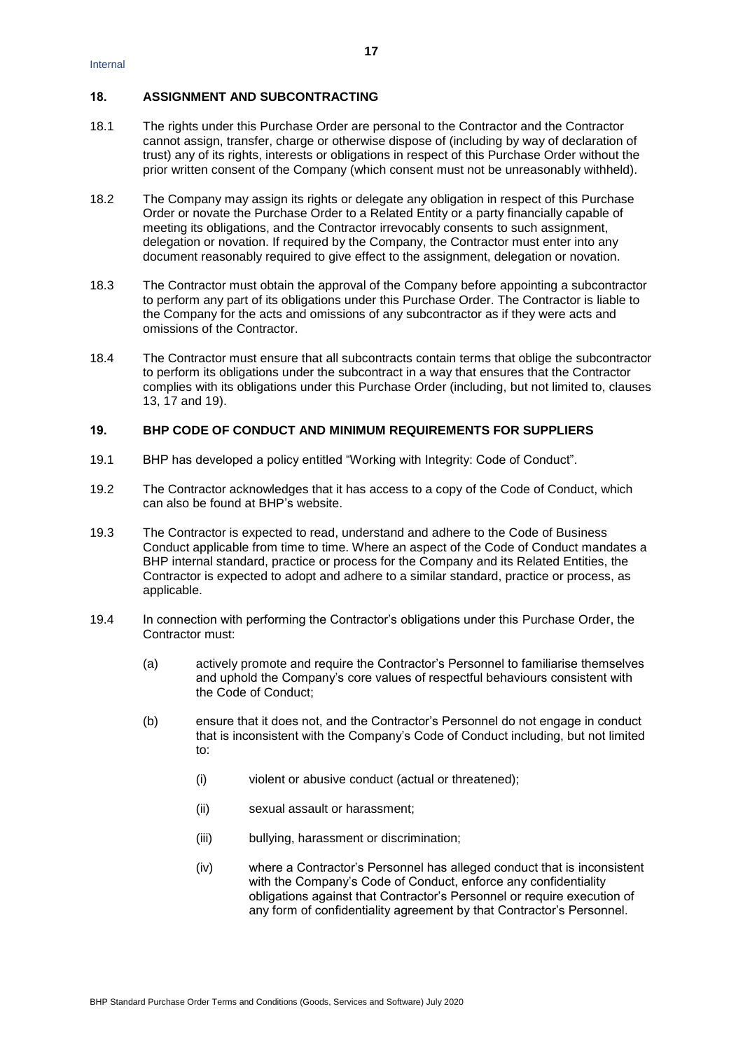# **18. ASSIGNMENT AND SUBCONTRACTING**

- 18.1 The rights under this Purchase Order are personal to the Contractor and the Contractor cannot assign, transfer, charge or otherwise dispose of (including by way of declaration of trust) any of its rights, interests or obligations in respect of this Purchase Order without the prior written consent of the Company (which consent must not be unreasonably withheld).
- 18.2 The Company may assign its rights or delegate any obligation in respect of this Purchase Order or novate the Purchase Order to a Related Entity or a party financially capable of meeting its obligations, and the Contractor irrevocably consents to such assignment, delegation or novation. If required by the Company, the Contractor must enter into any document reasonably required to give effect to the assignment, delegation or novation.
- 18.3 The Contractor must obtain the approval of the Company before appointing a subcontractor to perform any part of its obligations under this Purchase Order. The Contractor is liable to the Company for the acts and omissions of any subcontractor as if they were acts and omissions of the Contractor.
- 18.4 The Contractor must ensure that all subcontracts contain terms that oblige the subcontractor to perform its obligations under the subcontract in a way that ensures that the Contractor complies with its obligations under this Purchase Order (including, but not limited to, clauses 13, 17 and 19).

# <span id="page-16-0"></span>**19. BHP CODE OF CONDUCT AND MINIMUM REQUIREMENTS FOR SUPPLIERS**

- 19.1 BHP has developed a policy entitled "Working with Integrity: Code of Conduct".
- 19.2 The Contractor acknowledges that it has access to a copy of the Code of Conduct, which can also be found at BHP's website.
- 19.3 The Contractor is expected to read, understand and adhere to the Code of Business Conduct applicable from time to time. Where an aspect of the Code of Conduct mandates a BHP internal standard, practice or process for the Company and its Related Entities, the Contractor is expected to adopt and adhere to a similar standard, practice or process, as applicable.
- 19.4 In connection with performing the Contractor's obligations under this Purchase Order, the Contractor must:
	- (a) actively promote and require the Contractor's Personnel to familiarise themselves and uphold the Company's core values of respectful behaviours consistent with the Code of Conduct;
	- (b) ensure that it does not, and the Contractor's Personnel do not engage in conduct that is inconsistent with the Company's Code of Conduct including, but not limited to:
		- (i) violent or abusive conduct (actual or threatened);
		- (ii) sexual assault or harassment;
		- (iii) bullying, harassment or discrimination;
		- (iv) where a Contractor's Personnel has alleged conduct that is inconsistent with the Company's Code of Conduct, enforce any confidentiality obligations against that Contractor's Personnel or require execution of any form of confidentiality agreement by that Contractor's Personnel.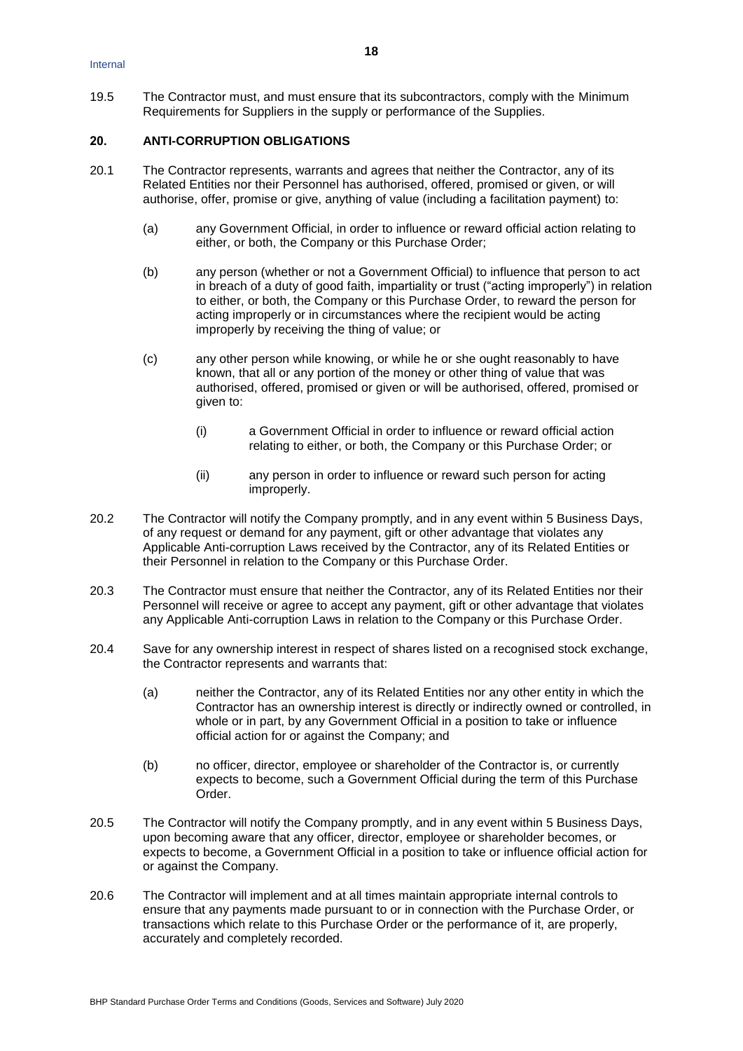19.5 The Contractor must, and must ensure that its subcontractors, comply with the Minimum Requirements for Suppliers in the supply or performance of the Supplies.

### <span id="page-17-0"></span>**20. ANTI-CORRUPTION OBLIGATIONS**

- <span id="page-17-3"></span>20.1 The Contractor represents, warrants and agrees that neither the Contractor, any of its Related Entities nor their Personnel has authorised, offered, promised or given, or will authorise, offer, promise or give, anything of value (including a facilitation payment) to:
	- (a) any Government Official, in order to influence or reward official action relating to either, or both, the Company or this Purchase Order;
	- (b) any person (whether or not a Government Official) to influence that person to act in breach of a duty of good faith, impartiality or trust ("acting improperly") in relation to either, or both, the Company or this Purchase Order, to reward the person for acting improperly or in circumstances where the recipient would be acting improperly by receiving the thing of value; or
	- (c) any other person while knowing, or while he or she ought reasonably to have known, that all or any portion of the money or other thing of value that was authorised, offered, promised or given or will be authorised, offered, promised or given to:
		- (i) a Government Official in order to influence or reward official action relating to either, or both, the Company or this Purchase Order; or
		- (ii) any person in order to influence or reward such person for acting improperly.
- 20.2 The Contractor will notify the Company promptly, and in any event within 5 Business Days, of any request or demand for any payment, gift or other advantage that violates any Applicable Anti-corruption Laws received by the Contractor, any of its Related Entities or their Personnel in relation to the Company or this Purchase Order.
- <span id="page-17-4"></span>20.3 The Contractor must ensure that neither the Contractor, any of its Related Entities nor their Personnel will receive or agree to accept any payment, gift or other advantage that violates any Applicable Anti-corruption Laws in relation to the Company or this Purchase Order.
- <span id="page-17-5"></span>20.4 Save for any ownership interest in respect of shares listed on a recognised stock exchange, the Contractor represents and warrants that:
	- (a) neither the Contractor, any of its Related Entities nor any other entity in which the Contractor has an ownership interest is directly or indirectly owned or controlled, in whole or in part, by any Government Official in a position to take or influence official action for or against the Company; and
	- (b) no officer, director, employee or shareholder of the Contractor is, or currently expects to become, such a Government Official during the term of this Purchase Order.
- <span id="page-17-2"></span>20.5 The Contractor will notify the Company promptly, and in any event within 5 Business Days, upon becoming aware that any officer, director, employee or shareholder becomes, or expects to become, a Government Official in a position to take or influence official action for or against the Company.
- <span id="page-17-1"></span>20.6 The Contractor will implement and at all times maintain appropriate internal controls to ensure that any payments made pursuant to or in connection with the Purchase Order, or transactions which relate to this Purchase Order or the performance of it, are properly, accurately and completely recorded.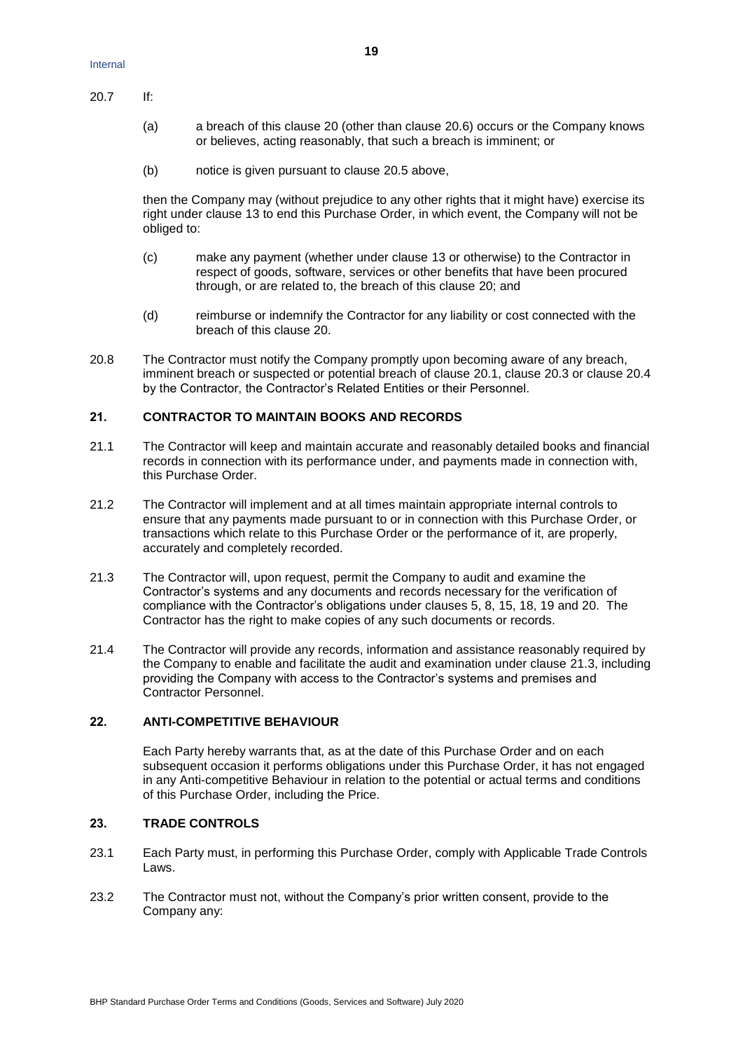20.7 If:

- (a) a breach of this clause [20](#page-17-0) (other than clause [20.6\)](#page-17-1) occurs or the Company knows or believes, acting reasonably, that such a breach is imminent; or
- (b) notice is given pursuant to clause [20.5](#page-17-2) above,

then the Company may (without prejudice to any other rights that it might have) exercise its right under clause [13](#page-12-2) to end this Purchase Order, in which event, the Company will not be obliged to:

- (c) make any payment (whether under clause [13](#page-12-2) or otherwise) to the Contractor in respect of goods, software, services or other benefits that have been procured through, or are related to, the breach of this clause [20;](#page-17-0) and
- (d) reimburse or indemnify the Contractor for any liability or cost connected with the breach of this clause [20.](#page-17-0)
- 20.8 The Contractor must notify the Company promptly upon becoming aware of any breach, imminent breach or suspected or potential breach of clause [20.1,](#page-17-3) clause [20.3](#page-17-4) or clause [20.4](#page-17-5) by the Contractor, the Contractor's Related Entities or their Personnel.

# **21. CONTRACTOR TO MAINTAIN BOOKS AND RECORDS**

- 21.1 The Contractor will keep and maintain accurate and reasonably detailed books and financial records in connection with its performance under, and payments made in connection with, this Purchase Order.
- 21.2 The Contractor will implement and at all times maintain appropriate internal controls to ensure that any payments made pursuant to or in connection with this Purchase Order, or transactions which relate to this Purchase Order or the performance of it, are properly, accurately and completely recorded.
- 21.3 The Contractor will, upon request, permit the Company to audit and examine the Contractor's systems and any documents and records necessary for the verification of compliance with the Contractor's obligations under clauses 5, 8, 15, 18, 19 and 20. The Contractor has the right to make copies of any such documents or records.
- 21.4 The Contractor will provide any records, information and assistance reasonably required by the Company to enable and facilitate the audit and examination under clause 21.3, including providing the Company with access to the Contractor's systems and premises and Contractor Personnel.

# **22. ANTI-COMPETITIVE BEHAVIOUR**

Each Party hereby warrants that, as at the date of this Purchase Order and on each subsequent occasion it performs obligations under this Purchase Order, it has not engaged in any Anti-competitive Behaviour in relation to the potential or actual terms and conditions of this Purchase Order, including the Price.

#### <span id="page-18-0"></span>**23. TRADE CONTROLS**

- 23.1 Each Party must, in performing this Purchase Order, comply with Applicable Trade Controls Laws.
- 23.2 The Contractor must not, without the Company's prior written consent, provide to the Company any: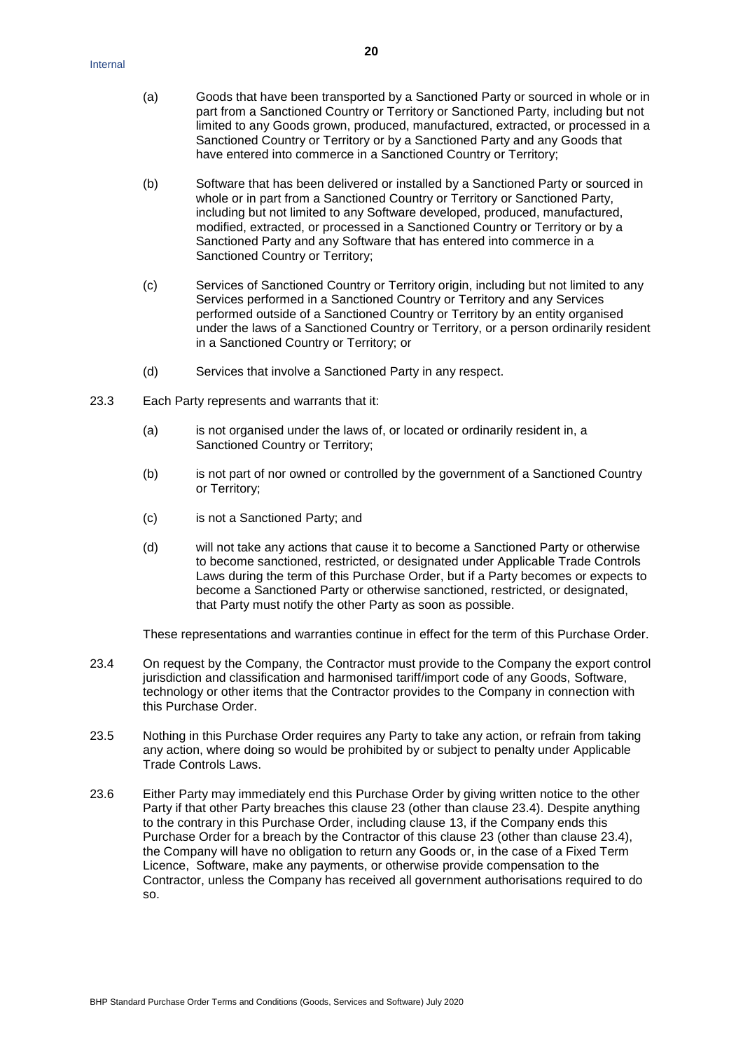- (a) Goods that have been transported by a Sanctioned Party or sourced in whole or in part from a Sanctioned Country or Territory or Sanctioned Party, including but not limited to any Goods grown, produced, manufactured, extracted, or processed in a Sanctioned Country or Territory or by a Sanctioned Party and any Goods that have entered into commerce in a Sanctioned Country or Territory;
- (b) Software that has been delivered or installed by a Sanctioned Party or sourced in whole or in part from a Sanctioned Country or Territory or Sanctioned Party, including but not limited to any Software developed, produced, manufactured, modified, extracted, or processed in a Sanctioned Country or Territory or by a Sanctioned Party and any Software that has entered into commerce in a Sanctioned Country or Territory;
- (c) Services of Sanctioned Country or Territory origin, including but not limited to any Services performed in a Sanctioned Country or Territory and any Services performed outside of a Sanctioned Country or Territory by an entity organised under the laws of a Sanctioned Country or Territory, or a person ordinarily resident in a Sanctioned Country or Territory; or
- (d) Services that involve a Sanctioned Party in any respect.
- 23.3 Each Party represents and warrants that it:
	- (a) is not organised under the laws of, or located or ordinarily resident in, a Sanctioned Country or Territory;
	- (b) is not part of nor owned or controlled by the government of a Sanctioned Country or Territory;
	- (c) is not a Sanctioned Party; and
	- (d) will not take any actions that cause it to become a Sanctioned Party or otherwise to become sanctioned, restricted, or designated under Applicable Trade Controls Laws during the term of this Purchase Order, but if a Party becomes or expects to become a Sanctioned Party or otherwise sanctioned, restricted, or designated, that Party must notify the other Party as soon as possible.

These representations and warranties continue in effect for the term of this Purchase Order.

- <span id="page-19-0"></span>23.4 On request by the Company, the Contractor must provide to the Company the export control jurisdiction and classification and harmonised tariff/import code of any Goods, Software, technology or other items that the Contractor provides to the Company in connection with this Purchase Order.
- 23.5 Nothing in this Purchase Order requires any Party to take any action, or refrain from taking any action, where doing so would be prohibited by or subject to penalty under Applicable Trade Controls Laws.
- 23.6 Either Party may immediately end this Purchase Order by giving written notice to the other Party if that other Party breaches this clause [23](#page-18-0) (other than clause [23.4\)](#page-19-0). Despite anything to the contrary in this Purchase Order, including clause [13,](#page-12-2) if the Company ends this Purchase Order for a breach by the Contractor of this clause [23](#page-18-0) (other than clause [23.4\)](#page-19-0), the Company will have no obligation to return any Goods or, in the case of a Fixed Term Licence, Software, make any payments, or otherwise provide compensation to the Contractor, unless the Company has received all government authorisations required to do so.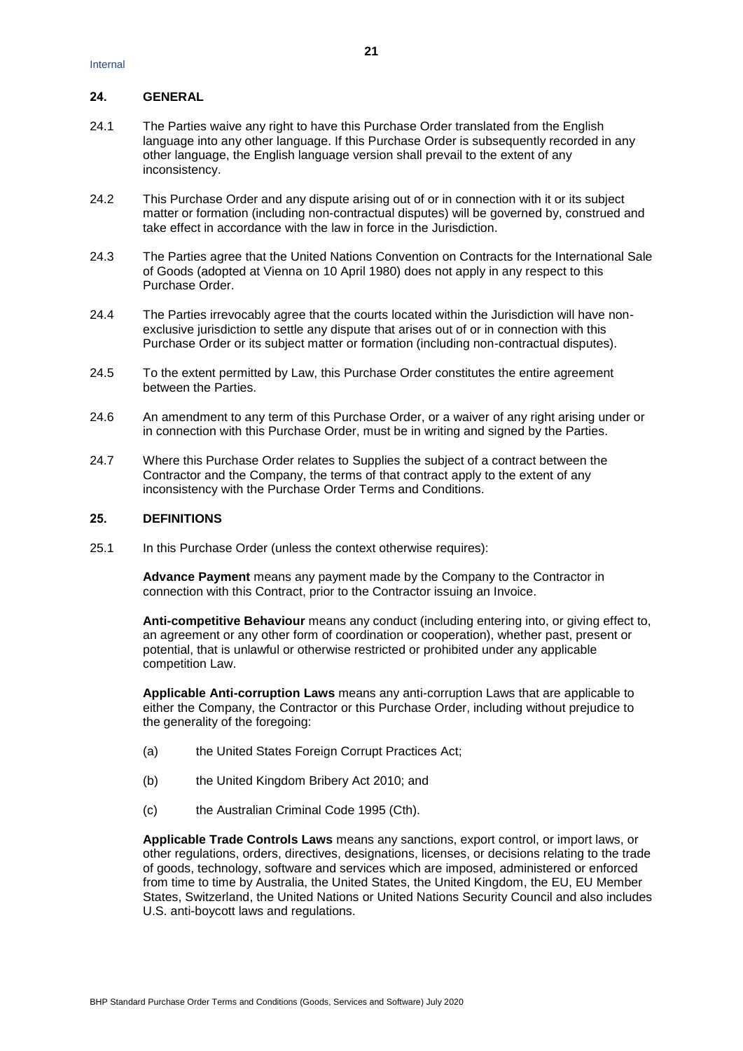### **24. GENERAL**

- 24.1 The Parties waive any right to have this Purchase Order translated from the English language into any other language. If this Purchase Order is subsequently recorded in any other language, the English language version shall prevail to the extent of any inconsistency.
- 24.2 This Purchase Order and any dispute arising out of or in connection with it or its subject matter or formation (including non-contractual disputes) will be governed by, construed and take effect in accordance with the law in force in the Jurisdiction.
- 24.3 The Parties agree that the United Nations Convention on Contracts for the International Sale of Goods (adopted at Vienna on 10 April 1980) does not apply in any respect to this Purchase Order.
- 24.4 The Parties irrevocably agree that the courts located within the Jurisdiction will have nonexclusive jurisdiction to settle any dispute that arises out of or in connection with this Purchase Order or its subject matter or formation (including non-contractual disputes).
- 24.5 To the extent permitted by Law, this Purchase Order constitutes the entire agreement between the Parties.
- 24.6 An amendment to any term of this Purchase Order, or a waiver of any right arising under or in connection with this Purchase Order, must be in writing and signed by the Parties.
- 24.7 Where this Purchase Order relates to Supplies the subject of a contract between the Contractor and the Company, the terms of that contract apply to the extent of any inconsistency with the Purchase Order Terms and Conditions.

#### **25. DEFINITIONS**

25.1 In this Purchase Order (unless the context otherwise requires):

**Advance Payment** means any payment made by the Company to the Contractor in connection with this Contract, prior to the Contractor issuing an Invoice.

**Anti-competitive Behaviour** means any conduct (including entering into, or giving effect to, an agreement or any other form of coordination or cooperation), whether past, present or potential, that is unlawful or otherwise restricted or prohibited under any applicable competition Law.

**Applicable Anti-corruption Laws** means any anti-corruption Laws that are applicable to either the Company, the Contractor or this Purchase Order, including without prejudice to the generality of the foregoing:

- (a) the United States Foreign Corrupt Practices Act;
- (b) the United Kingdom Bribery Act 2010; and
- (c) the Australian Criminal Code 1995 (Cth).

**Applicable Trade Controls Laws** means any sanctions, export control, or import laws, or other regulations, orders, directives, designations, licenses, or decisions relating to the trade of goods, technology, software and services which are imposed, administered or enforced from time to time by Australia, the United States, the United Kingdom, the EU, EU Member States, Switzerland, the United Nations or United Nations Security Council and also includes U.S. anti-boycott laws and regulations.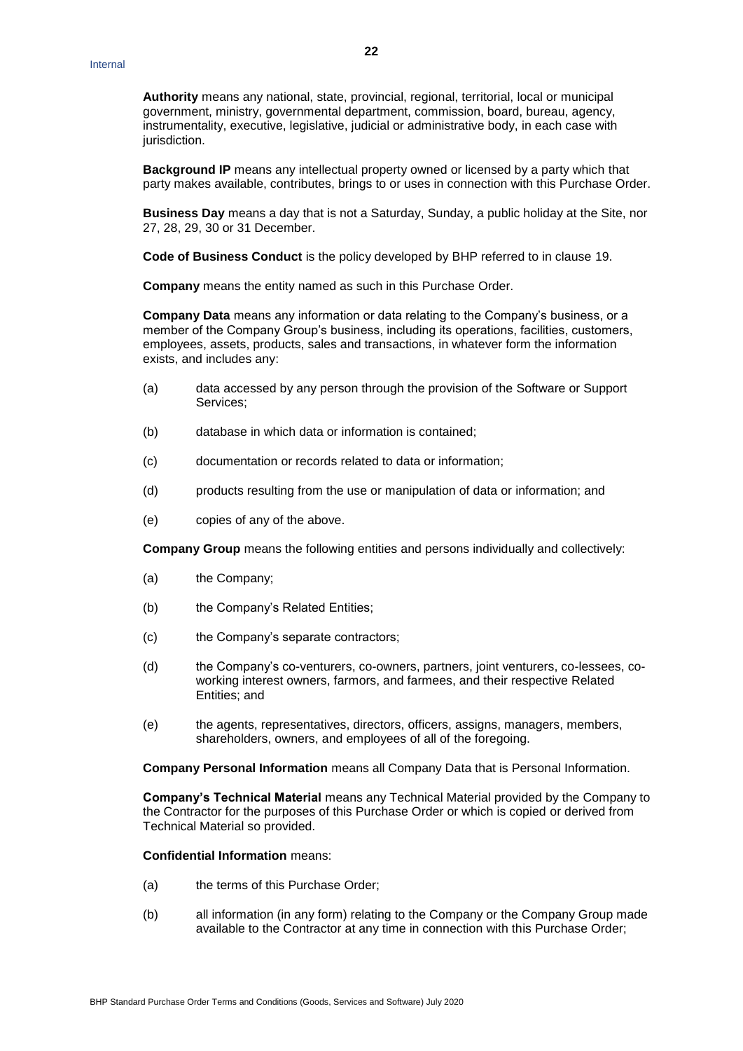**Authority** means any national, state, provincial, regional, territorial, local or municipal government, ministry, governmental department, commission, board, bureau, agency, instrumentality, executive, legislative, judicial or administrative body, in each case with jurisdiction.

**Background IP** means any intellectual property owned or licensed by a party which that party makes available, contributes, brings to or uses in connection with this Purchase Order.

**Business Day** means a day that is not a Saturday, Sunday, a public holiday at the Site, nor 27, 28, 29, 30 or 31 December.

**Code of Business Conduct** is the policy developed by BHP referred to in clause [19.](#page-16-0)

**Company** means the entity named as such in this Purchase Order.

**Company Data** means any information or data relating to the Company's business, or a member of the Company Group's business, including its operations, facilities, customers, employees, assets, products, sales and transactions, in whatever form the information exists, and includes any:

- (a) data accessed by any person through the provision of the Software or Support Services;
- (b) database in which data or information is contained;
- (c) documentation or records related to data or information;
- (d) products resulting from the use or manipulation of data or information; and
- (e) copies of any of the above.

**Company Group** means the following entities and persons individually and collectively:

- (a) the Company;
- (b) the Company's Related Entities;
- (c) the Company's separate contractors;
- (d) the Company's co-venturers, co-owners, partners, joint venturers, co-lessees, coworking interest owners, farmors, and farmees, and their respective Related Entities; and
- (e) the agents, representatives, directors, officers, assigns, managers, members, shareholders, owners, and employees of all of the foregoing.

**Company Personal Information** means all Company Data that is Personal Information.

**Company's Technical Material** means any Technical Material provided by the Company to the Contractor for the purposes of this Purchase Order or which is copied or derived from Technical Material so provided.

#### **Confidential Information** means:

- (a) the terms of this Purchase Order;
- (b) all information (in any form) relating to the Company or the Company Group made available to the Contractor at any time in connection with this Purchase Order;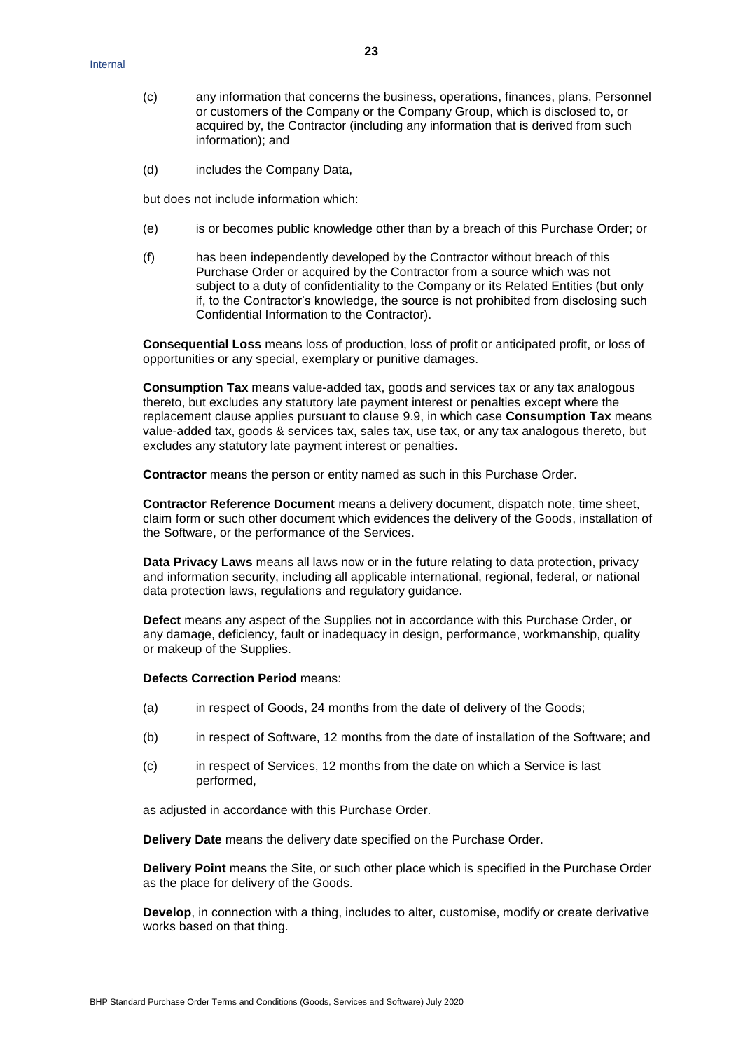- (c) any information that concerns the business, operations, finances, plans, Personnel or customers of the Company or the Company Group, which is disclosed to, or acquired by, the Contractor (including any information that is derived from such information); and
- (d) includes the Company Data,

but does not include information which:

- (e) is or becomes public knowledge other than by a breach of this Purchase Order; or
- (f) has been independently developed by the Contractor without breach of this Purchase Order or acquired by the Contractor from a source which was not subject to a duty of confidentiality to the Company or its Related Entities (but only if, to the Contractor's knowledge, the source is not prohibited from disclosing such Confidential Information to the Contractor).

**Consequential Loss** means loss of production, loss of profit or anticipated profit, or loss of opportunities or any special, exemplary or punitive damages.

**Consumption Tax** means value-added tax, goods and services tax or any tax analogous thereto, but excludes any statutory late payment interest or penalties except where the replacement clause applies pursuant to clause [9.9,](#page-9-2) in which case **Consumption Tax** means value-added tax, goods & services tax, sales tax, use tax, or any tax analogous thereto, but excludes any statutory late payment interest or penalties.

**Contractor** means the person or entity named as such in this Purchase Order.

**Contractor Reference Document** means a delivery document, dispatch note, time sheet, claim form or such other document which evidences the delivery of the Goods, installation of the Software, or the performance of the Services.

**Data Privacy Laws** means all laws now or in the future relating to data protection, privacy and information security, including all applicable international, regional, federal, or national data protection laws, regulations and regulatory guidance.

**Defect** means any aspect of the Supplies not in accordance with this Purchase Order, or any damage, deficiency, fault or inadequacy in design, performance, workmanship, quality or makeup of the Supplies.

# **Defects Correction Period** means:

- (a) in respect of Goods, 24 months from the date of delivery of the Goods;
- (b) in respect of Software, 12 months from the date of installation of the Software; and
- (c) in respect of Services, 12 months from the date on which a Service is last performed,

as adjusted in accordance with this Purchase Order.

**Delivery Date** means the delivery date specified on the Purchase Order.

**Delivery Point** means the Site, or such other place which is specified in the Purchase Order as the place for delivery of the Goods.

**Develop**, in connection with a thing, includes to alter, customise, modify or create derivative works based on that thing.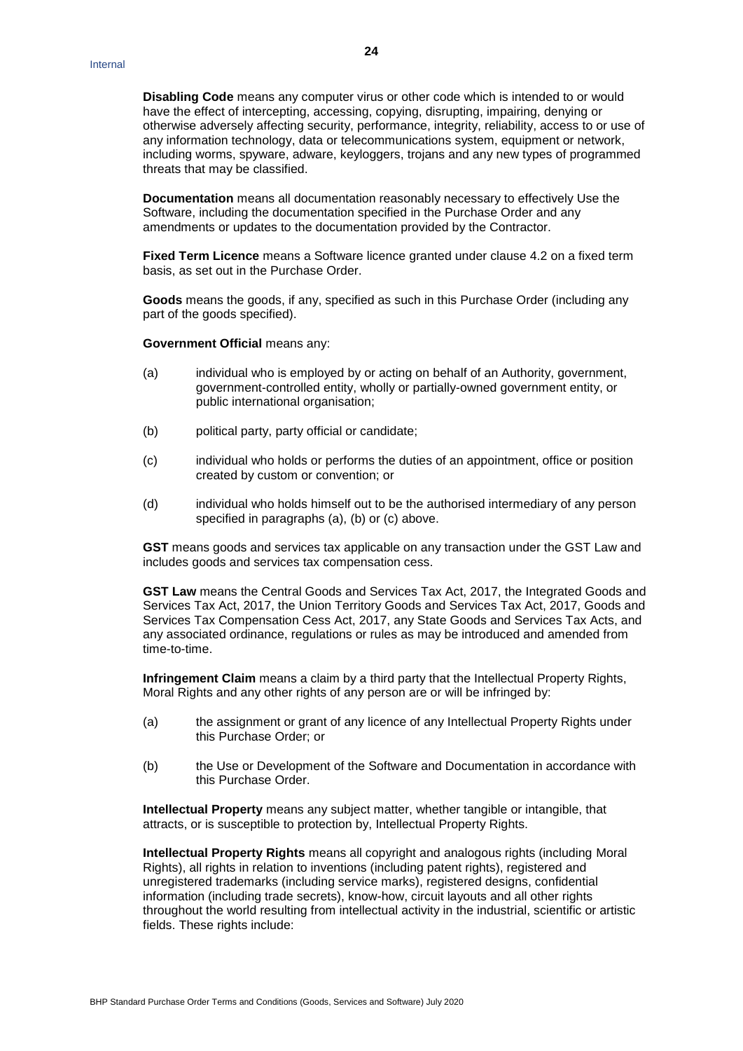**Disabling Code** means any computer virus or other code which is intended to or would have the effect of intercepting, accessing, copying, disrupting, impairing, denying or otherwise adversely affecting security, performance, integrity, reliability, access to or use of any information technology, data or telecommunications system, equipment or network, including worms, spyware, adware, keyloggers, trojans and any new types of programmed threats that may be classified.

**Documentation** means all documentation reasonably necessary to effectively Use the Software, including the documentation specified in the Purchase Order and any amendments or updates to the documentation provided by the Contractor.

**Fixed Term Licence** means a Software licence granted under clause [4.2](#page-2-1) on a fixed term basis, as set out in the Purchase Order.

**Goods** means the goods, if any, specified as such in this Purchase Order (including any part of the goods specified).

**Government Official** means any:

- (a) individual who is employed by or acting on behalf of an Authority, government, government-controlled entity, wholly or partially-owned government entity, or public international organisation;
- (b) political party, party official or candidate;
- (c) individual who holds or performs the duties of an appointment, office or position created by custom or convention; or
- (d) individual who holds himself out to be the authorised intermediary of any person specified in paragraphs (a), (b) or (c) above.

**GST** means goods and services tax applicable on any transaction under the GST Law and includes goods and services tax compensation cess.

**GST Law** means the Central Goods and Services Tax Act, 2017, the Integrated Goods and Services Tax Act, 2017, the Union Territory Goods and Services Tax Act, 2017, Goods and Services Tax Compensation Cess Act, 2017, any State Goods and Services Tax Acts, and any associated ordinance, regulations or rules as may be introduced and amended from time-to-time.

**Infringement Claim** means a claim by a third party that the Intellectual Property Rights, Moral Rights and any other rights of any person are or will be infringed by:

- (a) the assignment or grant of any licence of any Intellectual Property Rights under this Purchase Order; or
- (b) the Use or Development of the Software and Documentation in accordance with this Purchase Order.

**Intellectual Property** means any subject matter, whether tangible or intangible, that attracts, or is susceptible to protection by, Intellectual Property Rights.

**Intellectual Property Rights** means all copyright and analogous rights (including Moral Rights), all rights in relation to inventions (including patent rights), registered and unregistered trademarks (including service marks), registered designs, confidential information (including trade secrets), know-how, circuit layouts and all other rights throughout the world resulting from intellectual activity in the industrial, scientific or artistic fields. These rights include: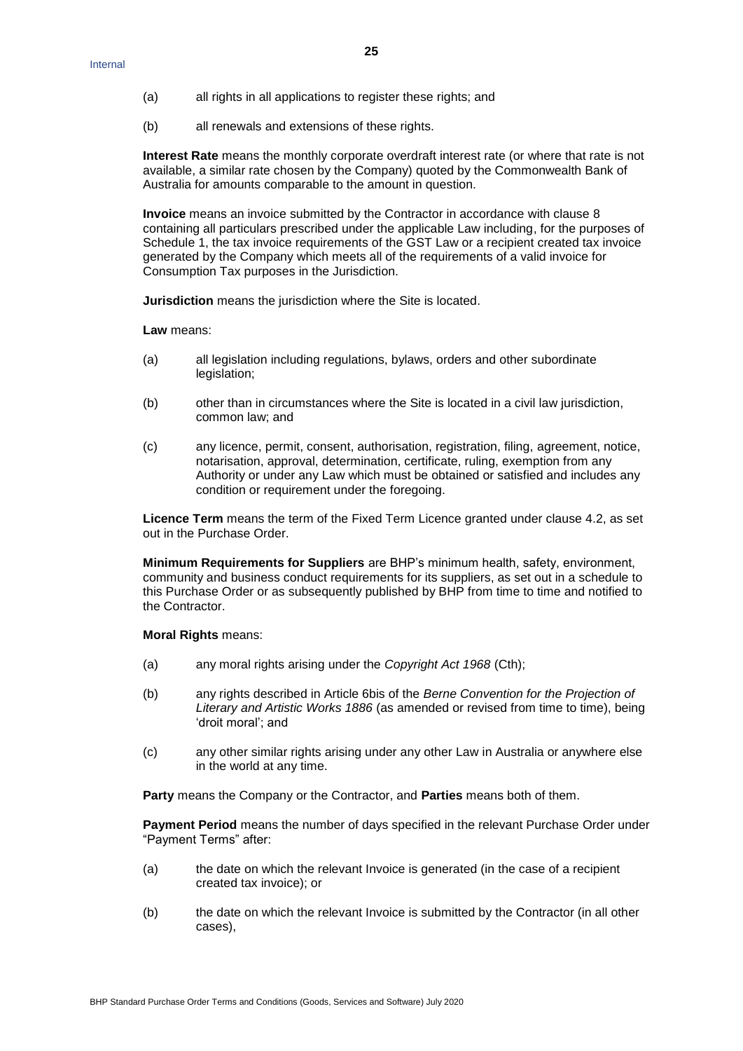- (a) all rights in all applications to register these rights; and
- (b) all renewals and extensions of these rights.

**Interest Rate** means the monthly corporate overdraft interest rate (or where that rate is not available, a similar rate chosen by the Company) quoted by the Commonwealth Bank of Australia for amounts comparable to the amount in question.

**Invoice** means an invoice submitted by the Contractor in accordance with clause [8](#page-6-1) containing all particulars prescribed under the applicable Law including, for the purposes of Schedule 1, the tax invoice requirements of the GST Law or a recipient created tax invoice generated by the Company which meets all of the requirements of a valid invoice for Consumption Tax purposes in the Jurisdiction.

**Jurisdiction** means the jurisdiction where the Site is located.

**Law** means:

- (a) all legislation including regulations, bylaws, orders and other subordinate legislation;
- (b) other than in circumstances where the Site is located in a civil law jurisdiction, common law; and
- (c) any licence, permit, consent, authorisation, registration, filing, agreement, notice, notarisation, approval, determination, certificate, ruling, exemption from any Authority or under any Law which must be obtained or satisfied and includes any condition or requirement under the foregoing.

**Licence Term** means the term of the Fixed Term Licence granted under clause [4.2,](#page-2-1) as set out in the Purchase Order.

**Minimum Requirements for Suppliers** are BHP's minimum health, safety, environment, community and business conduct requirements for its suppliers, as set out in a schedule to this Purchase Order or as subsequently published by BHP from time to time and notified to the Contractor.

**Moral Rights** means:

- (a) any moral rights arising under the *Copyright Act 1968* (Cth);
- (b) any rights described in Article 6bis of the *Berne Convention for the Projection of Literary and Artistic Works 1886* (as amended or revised from time to time), being 'droit moral'; and
- (c) any other similar rights arising under any other Law in Australia or anywhere else in the world at any time.

**Party** means the Company or the Contractor, and **Parties** means both of them.

**Payment Period** means the number of days specified in the relevant Purchase Order under "Payment Terms" after:

- (a) the date on which the relevant Invoice is generated (in the case of a recipient created tax invoice); or
- (b) the date on which the relevant Invoice is submitted by the Contractor (in all other cases),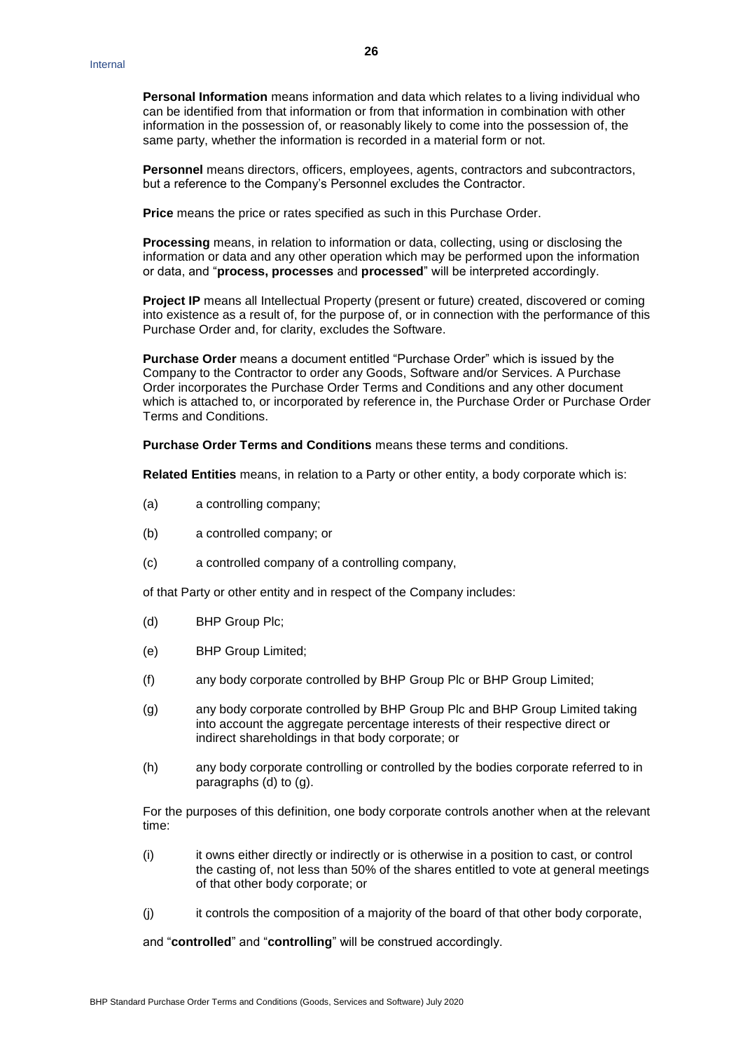**Personal Information** means information and data which relates to a living individual who can be identified from that information or from that information in combination with other information in the possession of, or reasonably likely to come into the possession of, the same party, whether the information is recorded in a material form or not.

**Personnel** means directors, officers, employees, agents, contractors and subcontractors, but a reference to the Company's Personnel excludes the Contractor.

**Price** means the price or rates specified as such in this Purchase Order.

**Processing** means, in relation to information or data, collecting, using or disclosing the information or data and any other operation which may be performed upon the information or data, and "**process, processes** and **processed**" will be interpreted accordingly.

**Project IP** means all Intellectual Property (present or future) created, discovered or coming into existence as a result of, for the purpose of, or in connection with the performance of this Purchase Order and, for clarity, excludes the Software.

**Purchase Order** means a document entitled "Purchase Order" which is issued by the Company to the Contractor to order any Goods, Software and/or Services. A Purchase Order incorporates the Purchase Order Terms and Conditions and any other document which is attached to, or incorporated by reference in, the Purchase Order or Purchase Order Terms and Conditions.

**Purchase Order Terms and Conditions** means these terms and conditions.

**Related Entities** means, in relation to a Party or other entity, a body corporate which is:

- (a) a controlling company;
- (b) a controlled company; or
- (c) a controlled company of a controlling company,

of that Party or other entity and in respect of the Company includes:

- (d) BHP Group Plc;
- (e) BHP Group Limited;
- (f) any body corporate controlled by BHP Group Plc or BHP Group Limited;
- (g) any body corporate controlled by BHP Group Plc and BHP Group Limited taking into account the aggregate percentage interests of their respective direct or indirect shareholdings in that body corporate; or
- (h) any body corporate controlling or controlled by the bodies corporate referred to in paragraphs (d) to (g).

For the purposes of this definition, one body corporate controls another when at the relevant time:

- (i) it owns either directly or indirectly or is otherwise in a position to cast, or control the casting of, not less than 50% of the shares entitled to vote at general meetings of that other body corporate; or
- (i) it controls the composition of a majority of the board of that other body corporate,

and "**controlled**" and "**controlling**" will be construed accordingly.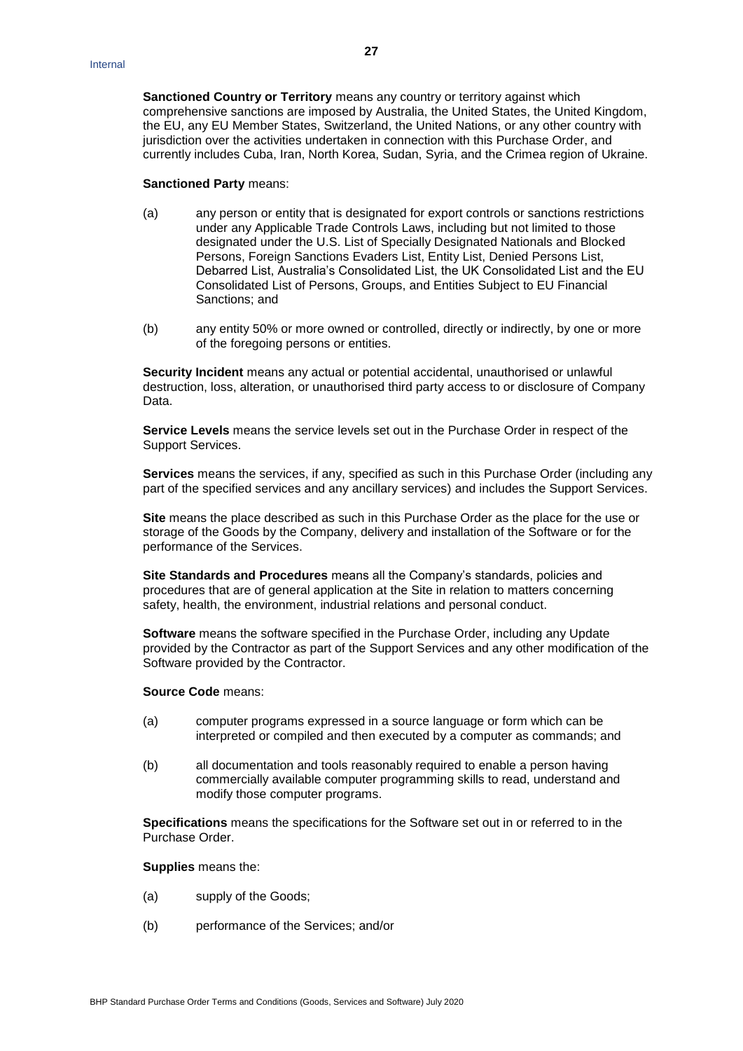**Sanctioned Country or Territory** means any country or territory against which comprehensive sanctions are imposed by Australia, the United States, the United Kingdom, the EU, any EU Member States, Switzerland, the United Nations, or any other country with jurisdiction over the activities undertaken in connection with this Purchase Order, and currently includes Cuba, Iran, North Korea, Sudan, Syria, and the Crimea region of Ukraine.

#### **Sanctioned Party** means:

- (a) any person or entity that is designated for export controls or sanctions restrictions under any Applicable Trade Controls Laws, including but not limited to those designated under the U.S. List of Specially Designated Nationals and Blocked Persons, Foreign Sanctions Evaders List, Entity List, Denied Persons List, Debarred List, Australia's Consolidated List, the UK Consolidated List and the EU Consolidated List of Persons, Groups, and Entities Subject to EU Financial Sanctions; and
- (b) any entity 50% or more owned or controlled, directly or indirectly, by one or more of the foregoing persons or entities.

**Security Incident** means any actual or potential accidental, unauthorised or unlawful destruction, loss, alteration, or unauthorised third party access to or disclosure of Company Data.

**Service Levels** means the service levels set out in the Purchase Order in respect of the Support Services.

**Services** means the services, if any, specified as such in this Purchase Order (including any part of the specified services and any ancillary services) and includes the Support Services.

**Site** means the place described as such in this Purchase Order as the place for the use or storage of the Goods by the Company, delivery and installation of the Software or for the performance of the Services.

**Site Standards and Procedures** means all the Company's standards, policies and procedures that are of general application at the Site in relation to matters concerning safety, health, the environment, industrial relations and personal conduct.

**Software** means the software specified in the Purchase Order, including any Update provided by the Contractor as part of the Support Services and any other modification of the Software provided by the Contractor.

### **Source Code** means:

- (a) computer programs expressed in a source language or form which can be interpreted or compiled and then executed by a computer as commands; and
- (b) all documentation and tools reasonably required to enable a person having commercially available computer programming skills to read, understand and modify those computer programs.

**Specifications** means the specifications for the Software set out in or referred to in the Purchase Order.

**Supplies** means the:

- (a) supply of the Goods;
- (b) performance of the Services; and/or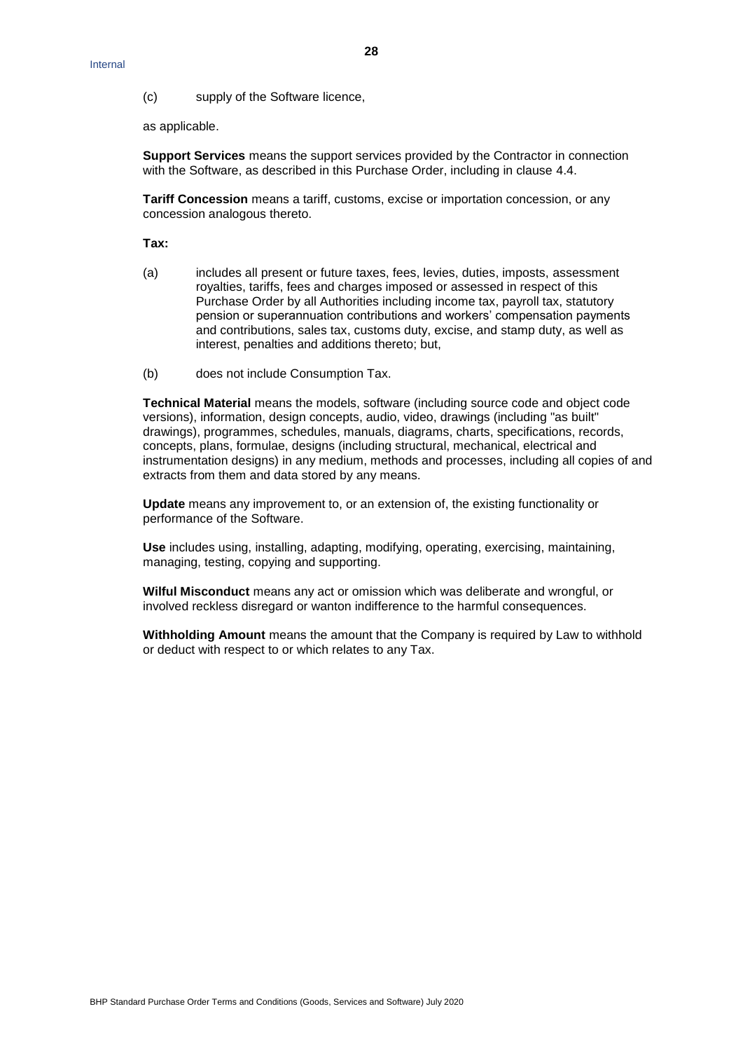(c) supply of the Software licence,

as applicable.

**Support Services** means the support services provided by the Contractor in connection with the Software, as described in this Purchase Order, including in clause [4.4.](#page-3-0)

**Tariff Concession** means a tariff, customs, excise or importation concession, or any concession analogous thereto.

**Tax:**

- (a) includes all present or future taxes, fees, levies, duties, imposts, assessment royalties, tariffs, fees and charges imposed or assessed in respect of this Purchase Order by all Authorities including income tax, payroll tax, statutory pension or superannuation contributions and workers' compensation payments and contributions, sales tax, customs duty, excise, and stamp duty, as well as interest, penalties and additions thereto; but,
- (b) does not include Consumption Tax.

**Technical Material** means the models, software (including source code and object code versions), information, design concepts, audio, video, drawings (including "as built" drawings), programmes, schedules, manuals, diagrams, charts, specifications, records, concepts, plans, formulae, designs (including structural, mechanical, electrical and instrumentation designs) in any medium, methods and processes, including all copies of and extracts from them and data stored by any means.

**Update** means any improvement to, or an extension of, the existing functionality or performance of the Software.

**Use** includes using, installing, adapting, modifying, operating, exercising, maintaining, managing, testing, copying and supporting.

**Wilful Misconduct** means any act or omission which was deliberate and wrongful, or involved reckless disregard or wanton indifference to the harmful consequences.

**Withholding Amount** means the amount that the Company is required by Law to withhold or deduct with respect to or which relates to any Tax.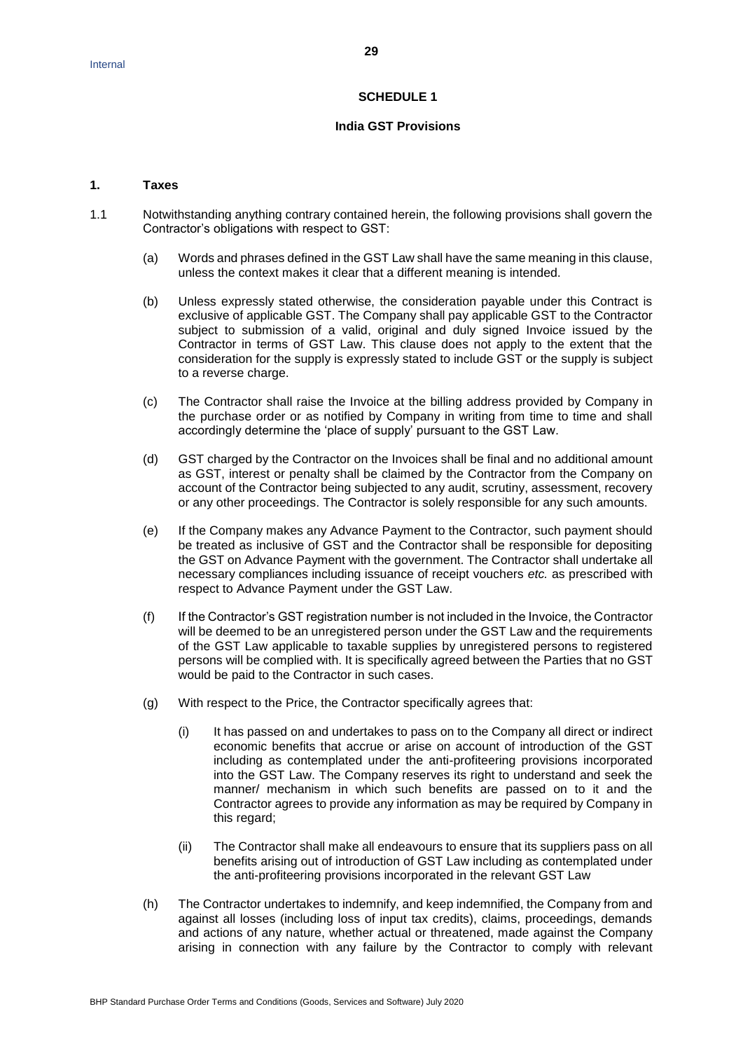#### **SCHEDULE 1**

#### **India GST Provisions**

### **1. Taxes**

- 1.1 Notwithstanding anything contrary contained herein, the following provisions shall govern the Contractor's obligations with respect to GST:
	- (a) Words and phrases defined in the GST Law shall have the same meaning in this clause, unless the context makes it clear that a different meaning is intended.
	- (b) Unless expressly stated otherwise, the consideration payable under this Contract is exclusive of applicable GST. The Company shall pay applicable GST to the Contractor subject to submission of a valid, original and duly signed Invoice issued by the Contractor in terms of GST Law. This clause does not apply to the extent that the consideration for the supply is expressly stated to include GST or the supply is subject to a reverse charge.
	- (c) The Contractor shall raise the Invoice at the billing address provided by Company in the purchase order or as notified by Company in writing from time to time and shall accordingly determine the 'place of supply' pursuant to the GST Law.
	- (d) GST charged by the Contractor on the Invoices shall be final and no additional amount as GST, interest or penalty shall be claimed by the Contractor from the Company on account of the Contractor being subjected to any audit, scrutiny, assessment, recovery or any other proceedings. The Contractor is solely responsible for any such amounts.
	- (e) If the Company makes any Advance Payment to the Contractor, such payment should be treated as inclusive of GST and the Contractor shall be responsible for depositing the GST on Advance Payment with the government. The Contractor shall undertake all necessary compliances including issuance of receipt vouchers *etc.* as prescribed with respect to Advance Payment under the GST Law.
	- (f) If the Contractor's GST registration number is not included in the Invoice, the Contractor will be deemed to be an unregistered person under the GST Law and the requirements of the GST Law applicable to taxable supplies by unregistered persons to registered persons will be complied with. It is specifically agreed between the Parties that no GST would be paid to the Contractor in such cases.
	- (g) With respect to the Price, the Contractor specifically agrees that:
		- (i) It has passed on and undertakes to pass on to the Company all direct or indirect economic benefits that accrue or arise on account of introduction of the GST including as contemplated under the anti-profiteering provisions incorporated into the GST Law. The Company reserves its right to understand and seek the manner/ mechanism in which such benefits are passed on to it and the Contractor agrees to provide any information as may be required by Company in this regard;
		- (ii) The Contractor shall make all endeavours to ensure that its suppliers pass on all benefits arising out of introduction of GST Law including as contemplated under the anti-profiteering provisions incorporated in the relevant GST Law
	- (h) The Contractor undertakes to indemnify, and keep indemnified, the Company from and against all losses (including loss of input tax credits), claims, proceedings, demands and actions of any nature, whether actual or threatened, made against the Company arising in connection with any failure by the Contractor to comply with relevant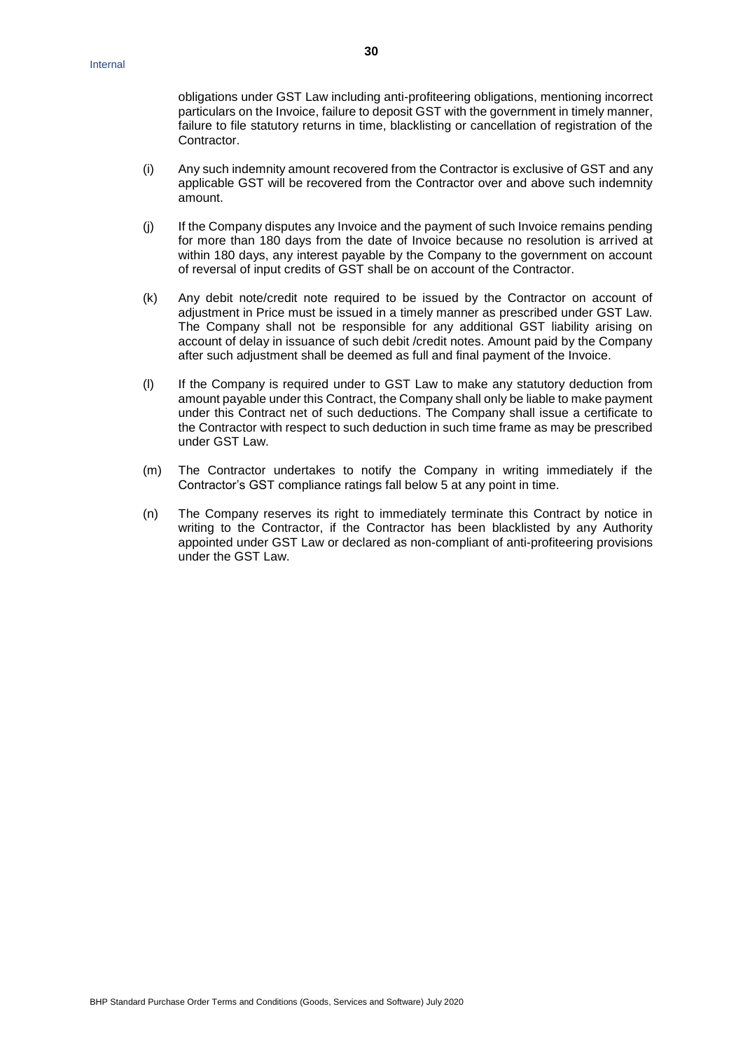obligations under GST Law including anti-profiteering obligations, mentioning incorrect particulars on the Invoice, failure to deposit GST with the government in timely manner, failure to file statutory returns in time, blacklisting or cancellation of registration of the Contractor.

- (i) Any such indemnity amount recovered from the Contractor is exclusive of GST and any applicable GST will be recovered from the Contractor over and above such indemnity amount.
- (j) If the Company disputes any Invoice and the payment of such Invoice remains pending for more than 180 days from the date of Invoice because no resolution is arrived at within 180 days, any interest payable by the Company to the government on account of reversal of input credits of GST shall be on account of the Contractor.
- (k) Any debit note/credit note required to be issued by the Contractor on account of adjustment in Price must be issued in a timely manner as prescribed under GST Law. The Company shall not be responsible for any additional GST liability arising on account of delay in issuance of such debit /credit notes. Amount paid by the Company after such adjustment shall be deemed as full and final payment of the Invoice.
- (l) If the Company is required under to GST Law to make any statutory deduction from amount payable under this Contract, the Company shall only be liable to make payment under this Contract net of such deductions. The Company shall issue a certificate to the Contractor with respect to such deduction in such time frame as may be prescribed under GST Law.
- (m) The Contractor undertakes to notify the Company in writing immediately if the Contractor's GST compliance ratings fall below 5 at any point in time.
- (n) The Company reserves its right to immediately terminate this Contract by notice in writing to the Contractor, if the Contractor has been blacklisted by any Authority appointed under GST Law or declared as non-compliant of anti-profiteering provisions under the GST Law.